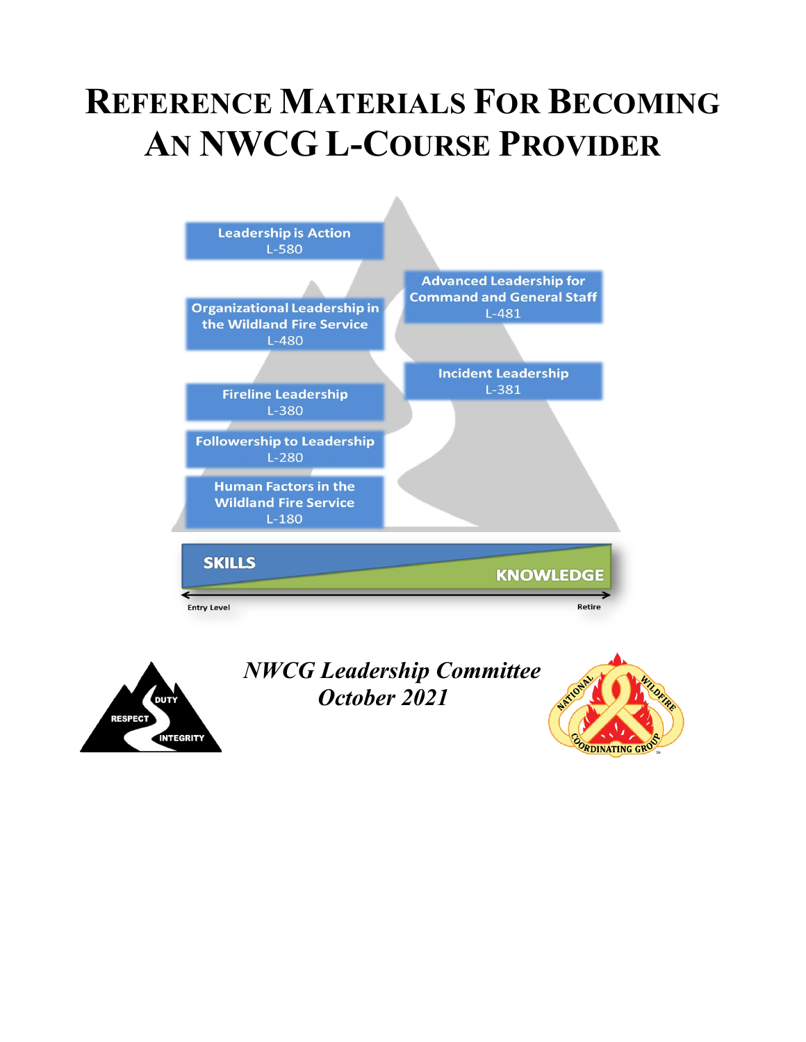# **REFERENCE MATERIALS FOR BECOMING AN NWCG L-COURSE PROVIDER**





*NWCG Leadership Committee October 2021*

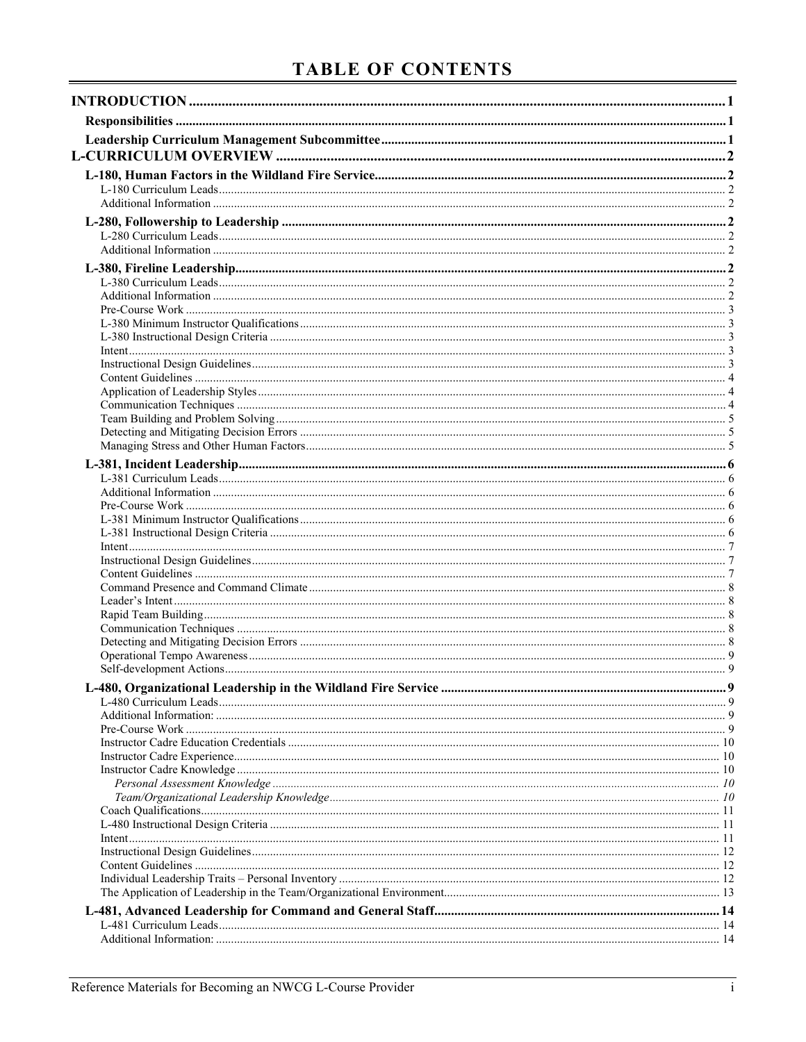## **TABLE OF CONTENTS**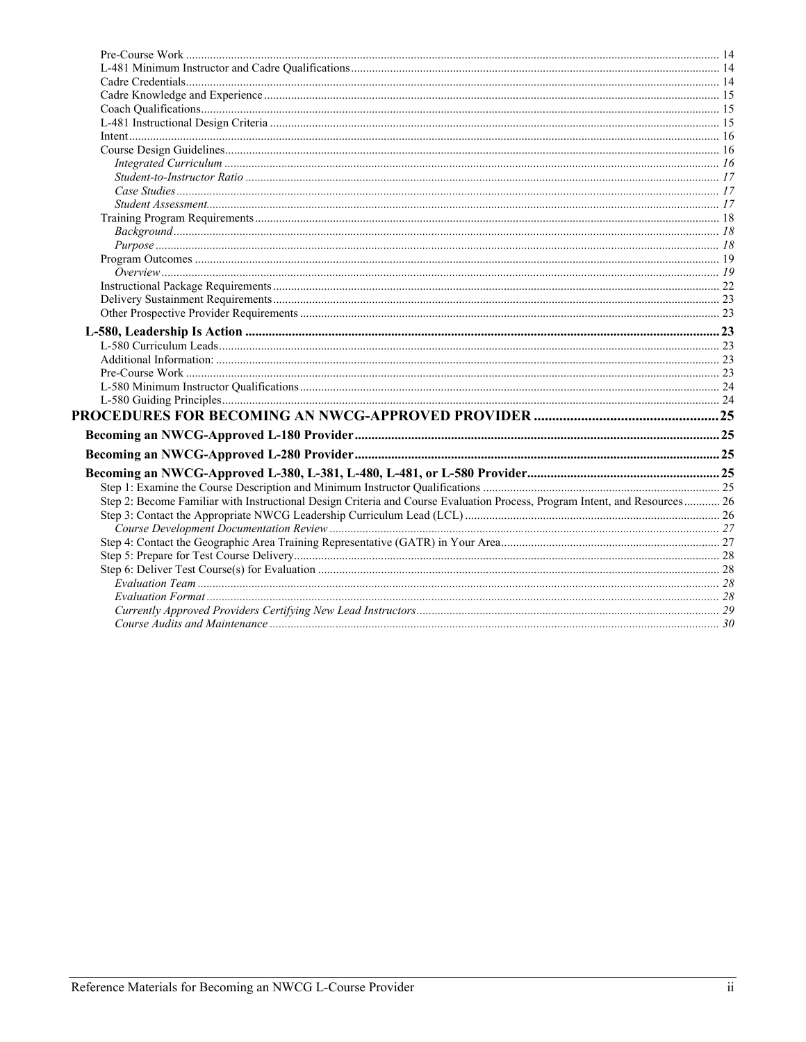| Step 2: Become Familiar with Instructional Design Criteria and Course Evaluation Process, Program Intent, and Resources 26 |  |
|----------------------------------------------------------------------------------------------------------------------------|--|
|                                                                                                                            |  |
|                                                                                                                            |  |
|                                                                                                                            |  |
|                                                                                                                            |  |
|                                                                                                                            |  |
|                                                                                                                            |  |
|                                                                                                                            |  |
|                                                                                                                            |  |
|                                                                                                                            |  |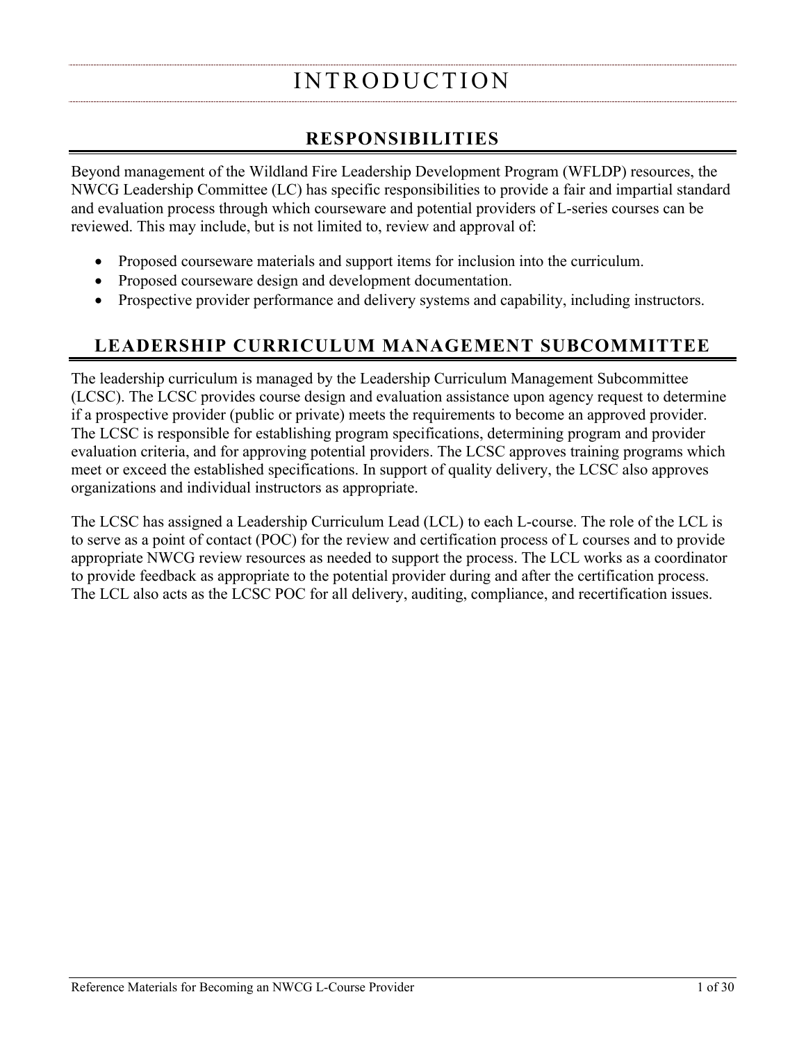## INTRODUCTION

## **RESPONSIBILITIES**

<span id="page-3-1"></span><span id="page-3-0"></span>Beyond management of the Wildland Fire Leadership Development Program (WFLDP) resources, the NWCG Leadership Committee (LC) has specific responsibilities to provide a fair and impartial standard and evaluation process through which courseware and potential providers of L-series courses can be reviewed. This may include, but is not limited to, review and approval of:

- Proposed courseware materials and support items for inclusion into the curriculum.
- Proposed courseware design and development documentation.
- Prospective provider performance and delivery systems and capability, including instructors.

## <span id="page-3-2"></span>**LEADERSHIP CURRICULUM MANAGEMENT SUBCOMMITTEE**

The leadership curriculum is managed by the Leadership Curriculum Management Subcommittee (LCSC). The LCSC provides course design and evaluation assistance upon agency request to determine if a prospective provider (public or private) meets the requirements to become an approved provider. The LCSC is responsible for establishing program specifications, determining program and provider evaluation criteria, and for approving potential providers. The LCSC approves training programs which meet or exceed the established specifications. In support of quality delivery, the LCSC also approves organizations and individual instructors as appropriate.

The LCSC has assigned a Leadership Curriculum Lead (LCL) to each L-course. The role of the LCL is to serve as a point of contact (POC) for the review and certification process of L courses and to provide appropriate NWCG review resources as needed to support the process. The LCL works as a coordinator to provide feedback as appropriate to the potential provider during and after the certification process. The LCL also acts as the LCSC POC for all delivery, auditing, compliance, and recertification issues.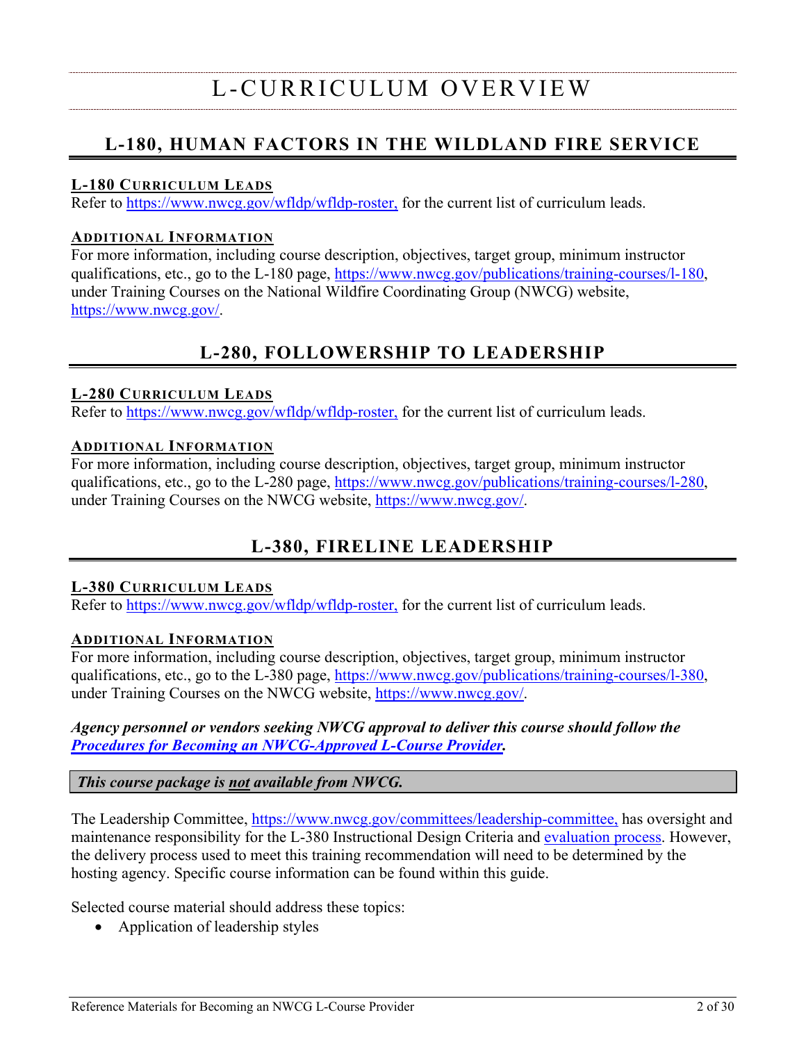## <span id="page-4-1"></span><span id="page-4-0"></span>**L-180, HUMAN FACTORS IN THE WILDLAND FIRE SERVICE**

#### <span id="page-4-2"></span>**L-180 CURRICULUM LEADS**

Refer to [https://www.nwcg.gov/wfldp/wfldp-roster,](https://www.nwcg.gov/wfldp/wfldp-roster) for the current list of curriculum leads.

#### <span id="page-4-3"></span>**ADDITIONAL INFORMATION**

For more information, including course description, objectives, target group, minimum instructor qualifications, etc., go to the L-180 page, [https://www.nwcg.gov/publications/training-courses/l-180,](https://www.nwcg.gov/publications/training-courses/l-180) under Training Courses on the National Wildfire Coordinating Group (NWCG) website, [https://www.nwcg.gov/.](https://www.nwcg.gov/)

## <span id="page-4-10"></span>**L-280, FOLLOWERSHIP TO LEADERSHIP**

#### <span id="page-4-5"></span><span id="page-4-4"></span>**L-280 CURRICULUM LEADS**

Refer to [https://www.nwcg.gov/wfldp/wfldp-roster,](https://www.nwcg.gov/wfldp/wfldp-roster) for the current list of curriculum leads.

#### <span id="page-4-6"></span>**ADDITIONAL INFORMATION**

For more information, including course description, objectives, target group, minimum instructor qualifications, etc., go to the L-280 page, [https://www.nwcg.gov/publications/training-courses/l-280,](https://www.nwcg.gov/publications/training-courses/l-280) under Training Courses on the NWCG website, [https://www.nwcg.gov/.](https://www.nwcg.gov/)

## **L-380, FIRELINE LEADERSHIP**

#### <span id="page-4-8"></span><span id="page-4-7"></span>**L-380 CURRICULUM LEADS**

Refer to [https://www.nwcg.gov/wfldp/wfldp-roster,](https://www.nwcg.gov/wfldp/wfldp-roster) for the current list of curriculum leads.

#### <span id="page-4-9"></span>**ADDITIONAL INFORMATION**

For more information, including course description, objectives, target group, minimum instructor qualifications, etc., go to the L-380 page, [https://www.nwcg.gov/publications/training-courses/l-380,](https://www.nwcg.gov/publications/training-courses/l-380) under Training Courses on the NWCG website, [https://www.nwcg.gov/.](https://www.nwcg.gov/)

#### *Agency personnel or vendors seeking NWCG approval to deliver this course should follow the Procedures for [Becoming an NWCG-Approved](#page-27-3) L-Course Provider.*

*This course package is not available from NWCG.*

The Leadership Committee, [https://www.nwcg.gov/committees/leadership-committee,](https://www.nwcg.gov/committees/leadership-committee) has oversight and maintenance responsibility for the L-380 Instructional Design Criteria and [evaluation process.](#page-27-3) However, the delivery process used to meet this training recommendation will need to be determined by the hosting agency. Specific course information can be found within this guide.

Selected course material should address these topics:

• Application of leadership styles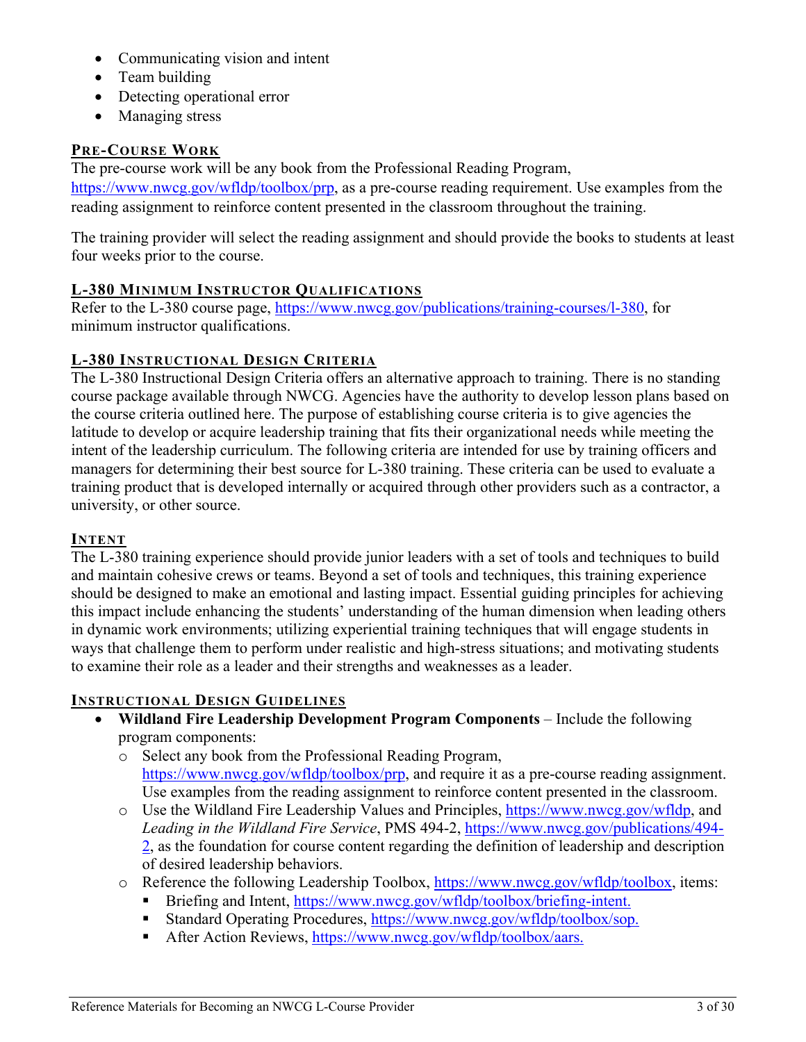- Communicating vision and intent
- Team building
- Detecting operational error
- Managing stress

#### <span id="page-5-0"></span>**PRE-COURSE WORK**

The pre-course work will be any book from the Professional Reading Program, [https://www.nwcg.gov/wfldp/toolbox/prp,](https://www.nwcg.gov/wfldp/toolbox/prp) as a pre-course reading requirement. Use examples from the reading assignment to reinforce content presented in the classroom throughout the training.

The training provider will select the reading assignment and should provide the books to students at least four weeks prior to the course.

#### <span id="page-5-1"></span>**L-380 MINIMUM INSTRUCTOR QUALIFICATIONS**

Refer to the L-380 course page, [https://www.nwcg.gov/publications/training-courses/l-380,](https://www.nwcg.gov/publications/training-courses/l-380) for minimum instructor qualifications.

#### <span id="page-5-2"></span>**L-380 INSTRUCTIONAL DESIGN CRITERIA**

The L-380 Instructional Design Criteria offers an alternative approach to training. There is no standing course package available through NWCG. Agencies have the authority to develop lesson plans based on the course criteria outlined here. The purpose of establishing course criteria is to give agencies the latitude to develop or acquire leadership training that fits their organizational needs while meeting the intent of the leadership curriculum. The following criteria are intended for use by training officers and managers for determining their best source for L-380 training. These criteria can be used to evaluate a training product that is developed internally or acquired through other providers such as a contractor, a university, or other source.

#### <span id="page-5-3"></span>**INTENT**

The L-380 training experience should provide junior leaders with a set of tools and techniques to build and maintain cohesive crews or teams. Beyond a set of tools and techniques, this training experience should be designed to make an emotional and lasting impact. Essential guiding principles for achieving this impact include enhancing the students' understanding of the human dimension when leading others in dynamic work environments; utilizing experiential training techniques that will engage students in ways that challenge them to perform under realistic and high-stress situations; and motivating students to examine their role as a leader and their strengths and weaknesses as a leader.

#### <span id="page-5-4"></span>**INSTRUCTIONAL DESIGN GUIDELINES**

- **Wildland Fire Leadership Development Program Components** Include the following program components:
	- o Select any book from the Professional Reading Program, [https://www.nwcg.gov/wfldp/toolbox/prp,](https://www.nwcg.gov/wfldp/toolbox/prp) and require it as a pre-course reading assignment. Use examples from the reading assignment to reinforce content presented in the classroom.
	- o Use the Wildland Fire Leadership Values and Principles, [https://www.nwcg.gov/wfldp,](https://www.nwcg.gov/wfldp) and *Leading in the Wildland Fire Service*, PMS 494-2, [https://www.nwcg.gov/publications/494-](https://www.nwcg.gov/publications/494-2) [2,](https://www.nwcg.gov/publications/494-2) as the foundation for course content regarding the definition of leadership and description of desired leadership behaviors.
	- o Reference the following Leadership Toolbox, [https://www.nwcg.gov/wfldp/toolbox,](https://www.nwcg.gov/wfldp/toolbox) items:
		- Briefing and Intent, [https://www.nwcg.gov/wfldp/toolbox/briefing-intent.](https://www.nwcg.gov/wfldp/toolbox/briefing-intent)
		- Standard Operating Procedures, [https://www.nwcg.gov/wfldp/toolbox/sop.](https://www.nwcg.gov/wfldp/toolbox/sop)
		- After Action Reviews, [https://www.nwcg.gov/wfldp/toolbox/aars.](https://www.nwcg.gov/wfldp/toolbox/aars)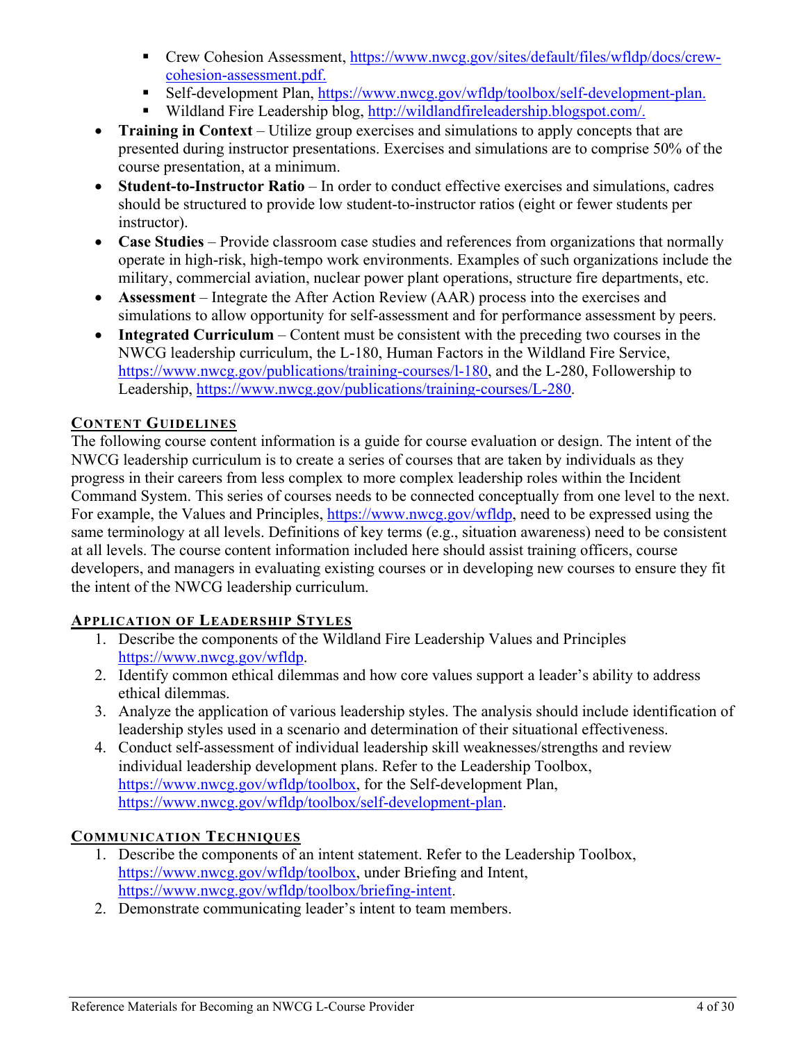- Crew Cohesion Assessment, [https://www.nwcg.gov/sites/default/files/wfldp/docs/crew](https://www.nwcg.gov/sites/default/files/wfldp/docs/crew-cohesion-assessment.pdf)[cohesion-assessment.pdf.](https://www.nwcg.gov/sites/default/files/wfldp/docs/crew-cohesion-assessment.pdf)
- Self-development Plan, [https://www.nwcg.gov/wfldp/toolbox/self-development-plan.](https://www.nwcg.gov/wfldp/toolbox/self-development-plan)
- Wildland Fire Leadership blog, [http://wildlandfireleadership.blogspot.com/.](http://wildlandfireleadership.blogspot.com/)
- **Training in Context** Utilize group exercises and simulations to apply concepts that are presented during instructor presentations. Exercises and simulations are to comprise 50% of the course presentation, at a minimum.
- **Student-to-Instructor Ratio** In order to conduct effective exercises and simulations, cadres should be structured to provide low student-to-instructor ratios (eight or fewer students per instructor).
- **Case Studies** Provide classroom case studies and references from organizations that normally operate in high-risk, high-tempo work environments. Examples of such organizations include the military, commercial aviation, nuclear power plant operations, structure fire departments, etc.
- **Assessment** Integrate the After Action Review (AAR) process into the exercises and simulations to allow opportunity for self-assessment and for performance assessment by peers.
- **Integrated Curriculum** Content must be consistent with the preceding two courses in the NWCG leadership curriculum, the L-180, Human Factors in the Wildland Fire Service, [https://www.nwcg.gov/publications/training-courses/l-180,](https://www.nwcg.gov/publications/training-courses/l-180) and the L-280, Followership to Leadership, [https://www.nwcg.gov/publications/training-courses/L-280.](https://www.nwcg.gov/publications/training-courses/L-280)

## <span id="page-6-0"></span>**CONTENT GUIDELINES**

The following course content information is a guide for course evaluation or design. The intent of the NWCG leadership curriculum is to create a series of courses that are taken by individuals as they progress in their careers from less complex to more complex leadership roles within the Incident Command System. This series of courses needs to be connected conceptually from one level to the next. For example, the Values and Principles, [https://www.nwcg.gov/wfldp,](https://www.nwcg.gov/wfldp) need to be expressed using the same terminology at all levels. Definitions of key terms (e.g., situation awareness) need to be consistent at all levels. The course content information included here should assist training officers, course developers, and managers in evaluating existing courses or in developing new courses to ensure they fit the intent of the NWCG leadership curriculum.

## <span id="page-6-1"></span>**APPLICATION OF LEADERSHIP STYLES**

- 1. Describe the components of the Wildland Fire Leadership Values and Principles [https://www.nwcg.gov/wfldp.](https://www.nwcg.gov/wfldp)
- 2. Identify common ethical dilemmas and how core values support a leader's ability to address ethical dilemmas.
- 3. Analyze the application of various leadership styles. The analysis should include identification of leadership styles used in a scenario and determination of their situational effectiveness.
- 4. Conduct self-assessment of individual leadership skill weaknesses/strengths and review individual leadership development plans. Refer to the Leadership Toolbox, [https://www.nwcg.gov/wfldp/toolbox,](https://www.nwcg.gov/wfldp/toolbox) for the Self-development Plan, [https://www.nwcg.gov/wfldp/toolbox/self-development-plan.](https://www.nwcg.gov/wfldp/toolbox/self-development-plan)

## <span id="page-6-2"></span>**COMMUNICATION TECHNIQUES**

- 1. Describe the components of an intent statement. Refer to the Leadership Toolbox, [https://www.nwcg.gov/wfldp/toolbox,](https://www.nwcg.gov/wfldp/toolbox) under Briefing and Intent, [https://www.nwcg.gov/wfldp/toolbox/briefing-intent.](https://www.nwcg.gov/wfldp/toolbox/briefing-intent)
- 2. Demonstrate communicating leader's intent to team members.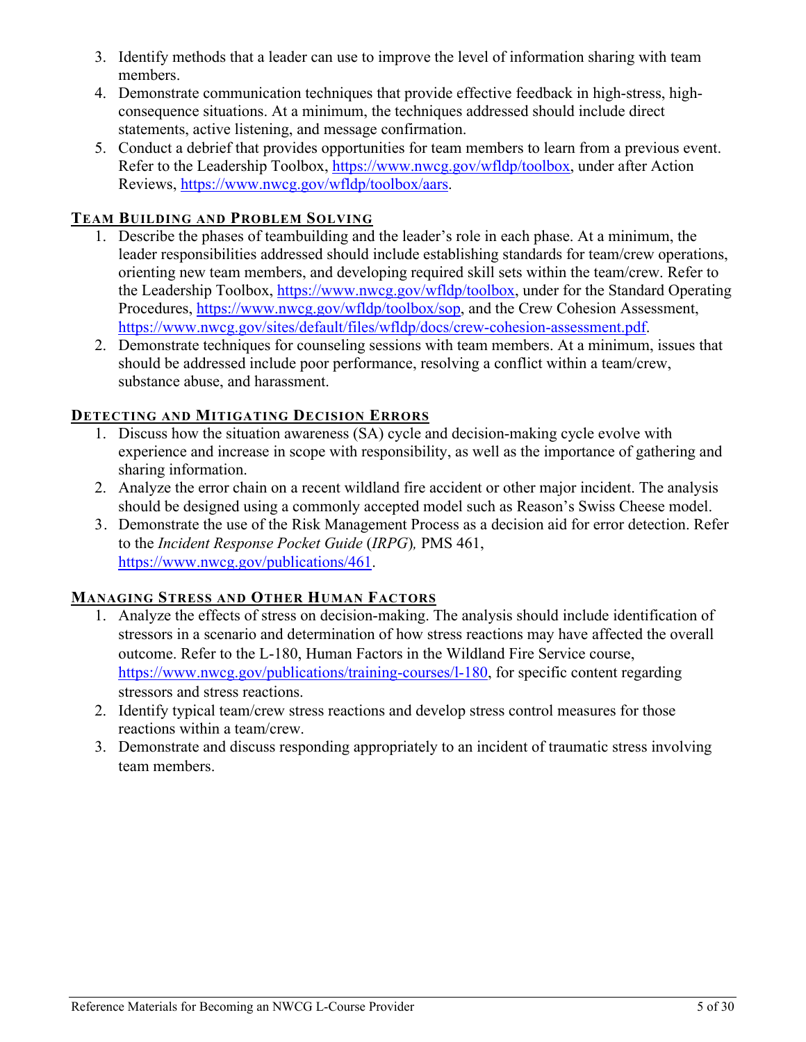- 3. Identify methods that a leader can use to improve the level of information sharing with team members.
- 4. Demonstrate communication techniques that provide effective feedback in high-stress, highconsequence situations. At a minimum, the techniques addressed should include direct statements, active listening, and message confirmation.
- 5. Conduct a debrief that provides opportunities for team members to learn from a previous event. Refer to the Leadership Toolbox, [https://www.nwcg.gov/wfldp/toolbox,](https://www.nwcg.gov/wfldp/toolbox) under after Action Reviews, [https://www.nwcg.gov/wfldp/toolbox/aars.](https://www.nwcg.gov/wfldp/toolbox/aars)

#### <span id="page-7-0"></span>**TEAM BUILDING AND PROBLEM SOLVING**

- 1. Describe the phases of teambuilding and the leader's role in each phase. At a minimum, the leader responsibilities addressed should include establishing standards for team/crew operations, orienting new team members, and developing required skill sets within the team/crew. Refer to the Leadership Toolbox, [https://www.nwcg.gov/wfldp/toolbox,](https://www.nwcg.gov/wfldp/toolbox) under for the Standard Operating Procedures, [https://www.nwcg.gov/wfldp/toolbox/sop,](https://www.nwcg.gov/wfldp/toolbox/sop) and the Crew Cohesion Assessment, [https://www.nwcg.gov/sites/default/files/wfldp/docs/crew-cohesion-assessment.pdf.](https://www.nwcg.gov/sites/default/files/wfldp/docs/crew-cohesion-assessment.pdf)
- 2. Demonstrate techniques for counseling sessions with team members. At a minimum, issues that should be addressed include poor performance, resolving a conflict within a team/crew, substance abuse, and harassment.

#### <span id="page-7-1"></span>**DETECTING AND MITIGATING DECISION ERRORS**

- 1. Discuss how the situation awareness (SA) cycle and decision-making cycle evolve with experience and increase in scope with responsibility, as well as the importance of gathering and sharing information.
- 2. Analyze the error chain on a recent wildland fire accident or other major incident. The analysis should be designed using a commonly accepted model such as Reason's Swiss Cheese model.
- 3. Demonstrate the use of the Risk Management Process as a decision aid for error detection. Refer to the *Incident Response Pocket Guide* (*IRPG*)*,* PMS 461, [https://www.nwcg.gov/publications/461.](https://www.nwcg.gov/publications/461)

#### <span id="page-7-2"></span>**MANAGING STRESS AND OTHER HUMAN FACTORS**

- 1. Analyze the effects of stress on decision-making. The analysis should include identification of stressors in a scenario and determination of how stress reactions may have affected the overall outcome. Refer to the L-180, Human Factors in the Wildland Fire Service course, [https://www.nwcg.gov/publications/training-courses/l-180,](https://www.nwcg.gov/publications/training-courses/l-180) for specific content regarding stressors and stress reactions.
- 2. Identify typical team/crew stress reactions and develop stress control measures for those reactions within a team/crew.
- <span id="page-7-3"></span>3. Demonstrate and discuss responding appropriately to an incident of traumatic stress involving team members.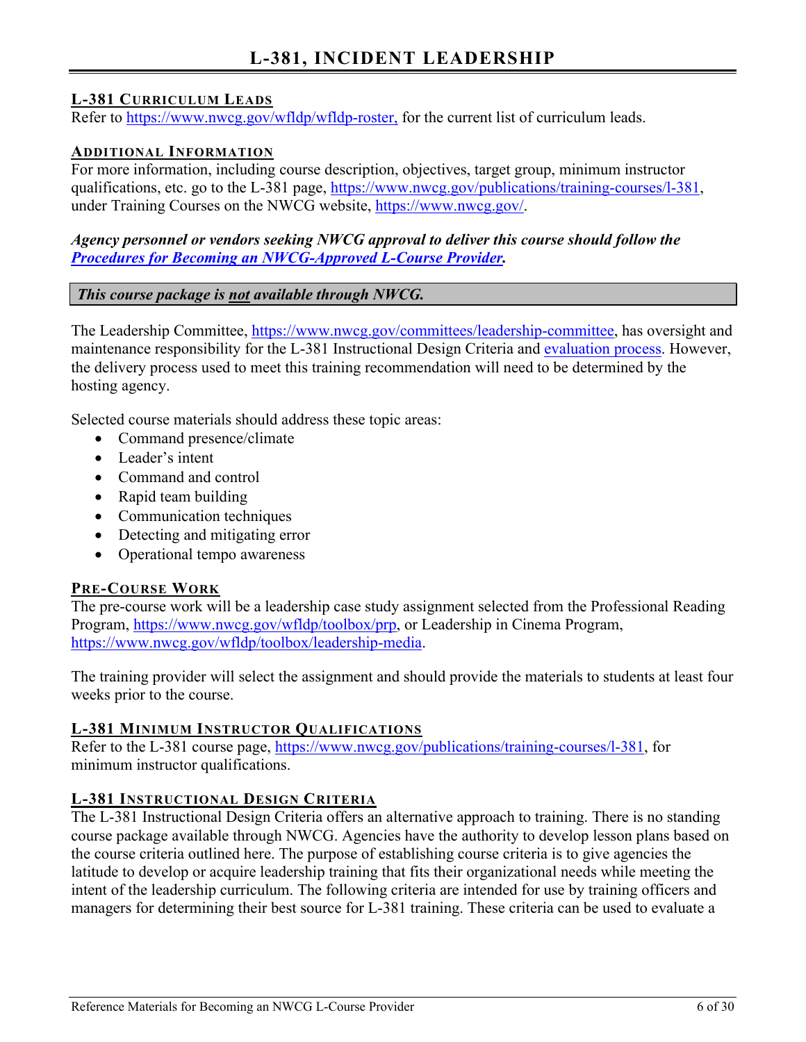## **L-381, INCIDENT LEADERSHIP**

#### <span id="page-8-1"></span><span id="page-8-0"></span>**L-381 CURRICULUM LEADS**

Refer to [https://www.nwcg.gov/wfldp/wfldp-roster,](https://www.nwcg.gov/wfldp/wfldp-roster) for the current list of curriculum leads.

#### <span id="page-8-2"></span>**ADDITIONAL INFORMATION**

For more information, including course description, objectives, target group, minimum instructor qualifications, etc. go to the L-381 page, [https://www.nwcg.gov/publications/training-courses/l-381,](https://www.nwcg.gov/publications/training-courses/l-381) under Training Courses on the NWCG website, [https://www.nwcg.gov/.](https://www.nwcg.gov/)

#### *Agency personnel or vendors seeking NWCG approval to deliver this course should follow the Procedures for [Becoming an NWCG-Approved L-Course](#page-27-3) Provider.*

#### *This course package is not available through NWCG.*

The Leadership Committee, [https://www.nwcg.gov/committees/leadership-committee,](https://www.nwcg.gov/committees/leadership-committee) has oversight and maintenance responsibility for the L-381 Instructional Design Criteria and [evaluation process.](#page-27-3) However, the delivery process used to meet this training recommendation will need to be determined by the hosting agency.

Selected course materials should address these topic areas:

- Command presence/climate
- Leader's intent
- Command and control
- Rapid team building
- Communication techniques
- Detecting and mitigating error
- Operational tempo awareness

#### <span id="page-8-3"></span>**PRE-COURSE WORK**

The pre-course work will be a leadership case study assignment selected from the Professional Reading Program, [https://www.nwcg.gov/wfldp/toolbox/prp,](https://www.nwcg.gov/wfldp/toolbox/prp) or Leadership in Cinema Program, [https://www.nwcg.gov/wfldp/toolbox/leadership-media.](https://www.nwcg.gov/wfldp/toolbox/leadership-media)

The training provider will select the assignment and should provide the materials to students at least four weeks prior to the course.

#### <span id="page-8-4"></span>**L-381 MINIMUM INSTRUCTOR QUALIFICATIONS**

Refer to the L-381 course page, [https://www.nwcg.gov/publications/training-courses/l-381,](https://www.nwcg.gov/publications/training-courses/l-381) for minimum instructor qualifications.

#### <span id="page-8-5"></span>**L-381 INSTRUCTIONAL DESIGN CRITERIA**

The L-381 Instructional Design Criteria offers an alternative approach to training. There is no standing course package available through NWCG. Agencies have the authority to develop lesson plans based on the course criteria outlined here. The purpose of establishing course criteria is to give agencies the latitude to develop or acquire leadership training that fits their organizational needs while meeting the intent of the leadership curriculum. The following criteria are intended for use by training officers and managers for determining their best source for L-381 training. These criteria can be used to evaluate a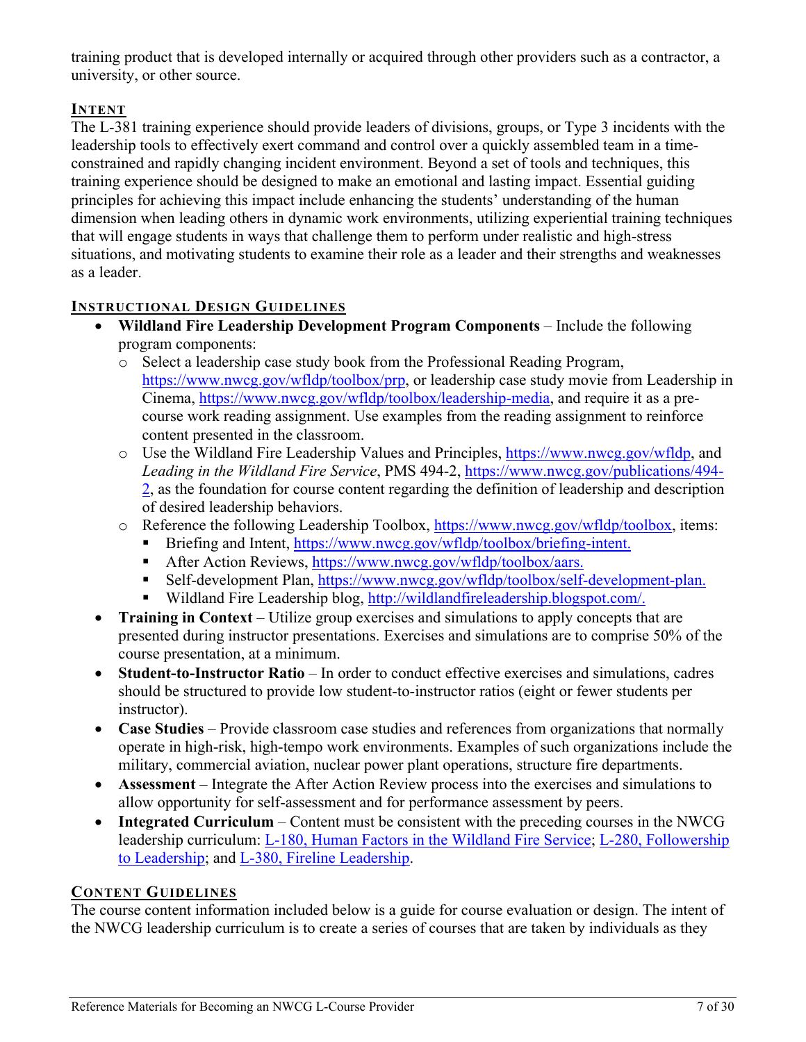training product that is developed internally or acquired through other providers such as a contractor, a university, or other source.

#### <span id="page-9-0"></span>**INTENT**

The L-381 training experience should provide leaders of divisions, groups, or Type 3 incidents with the leadership tools to effectively exert command and control over a quickly assembled team in a timeconstrained and rapidly changing incident environment. Beyond a set of tools and techniques, this training experience should be designed to make an emotional and lasting impact. Essential guiding principles for achieving this impact include enhancing the students' understanding of the human dimension when leading others in dynamic work environments, utilizing experiential training techniques that will engage students in ways that challenge them to perform under realistic and high-stress situations, and motivating students to examine their role as a leader and their strengths and weaknesses as a leader.

#### <span id="page-9-1"></span>**INSTRUCTIONAL DESIGN GUIDELINES**

- **Wildland Fire Leadership Development Program Components** Include the following program components:
	- o Select a leadership case study book from the Professional Reading Program, [https://www.nwcg.gov/wfldp/toolbox/prp,](https://www.nwcg.gov/wfldp/toolbox/prp) or leadership case study movie from Leadership in Cinema, [https://www.nwcg.gov/wfldp/toolbox/leadership-media,](https://www.nwcg.gov/wfldp/toolbox/leadership-media) and require it as a precourse work reading assignment. Use examples from the reading assignment to reinforce content presented in the classroom.
	- o Use the Wildland Fire Leadership Values and Principles, [https://www.nwcg.gov/wfldp,](https://www.nwcg.gov/wfldp) and *Leading in the Wildland Fire Service*, PMS 494-2, [https://www.nwcg.gov/publications/494-](https://www.nwcg.gov/publications/494-2) [2,](https://www.nwcg.gov/publications/494-2) as the foundation for course content regarding the definition of leadership and description of desired leadership behaviors.
	- o Reference the following Leadership Toolbox, [https://www.nwcg.gov/wfldp/toolbox,](https://www.nwcg.gov/wfldp/toolbox) items:
		- Briefing and Intent, [https://www.nwcg.gov/wfldp/toolbox/briefing-intent.](https://www.nwcg.gov/wfldp/toolbox/briefing-intent)
		- After Action Reviews, [https://www.nwcg.gov/wfldp/toolbox/aars.](https://www.nwcg.gov/wfldp/toolbox/aars)
		- Self-development Plan, [https://www.nwcg.gov/wfldp/toolbox/self-development-plan.](https://www.nwcg.gov/wfldp/toolbox/self-development-plan)
		- Wildland Fire Leadership blog, [http://wildlandfireleadership.blogspot.com/.](http://wildlandfireleadership.blogspot.com/)
- **Training in Context** Utilize group exercises and simulations to apply concepts that are presented during instructor presentations. Exercises and simulations are to comprise 50% of the course presentation, at a minimum.
- **Student-to-Instructor Ratio** In order to conduct effective exercises and simulations, cadres should be structured to provide low student-to-instructor ratios (eight or fewer students per instructor).
- **Case Studies** Provide classroom case studies and references from organizations that normally operate in high-risk, high-tempo work environments. Examples of such organizations include the military, commercial aviation, nuclear power plant operations, structure fire departments.
- **Assessment** Integrate the After Action Review process into the exercises and simulations to allow opportunity for self-assessment and for performance assessment by peers.
- **Integrated Curriculum** Content must be consistent with the preceding courses in the NWCG leadership curriculum: [L-180, Human Factors in the Wildland Fire Service;](#page-4-10) [L-280, Followership](#page-4-4)  [to Leadership;](#page-4-4) and [L-380, Fireline Leadership.](#page-4-7)

#### <span id="page-9-2"></span>**CONTENT GUIDELINES**

The course content information included below is a guide for course evaluation or design. The intent of the NWCG leadership curriculum is to create a series of courses that are taken by individuals as they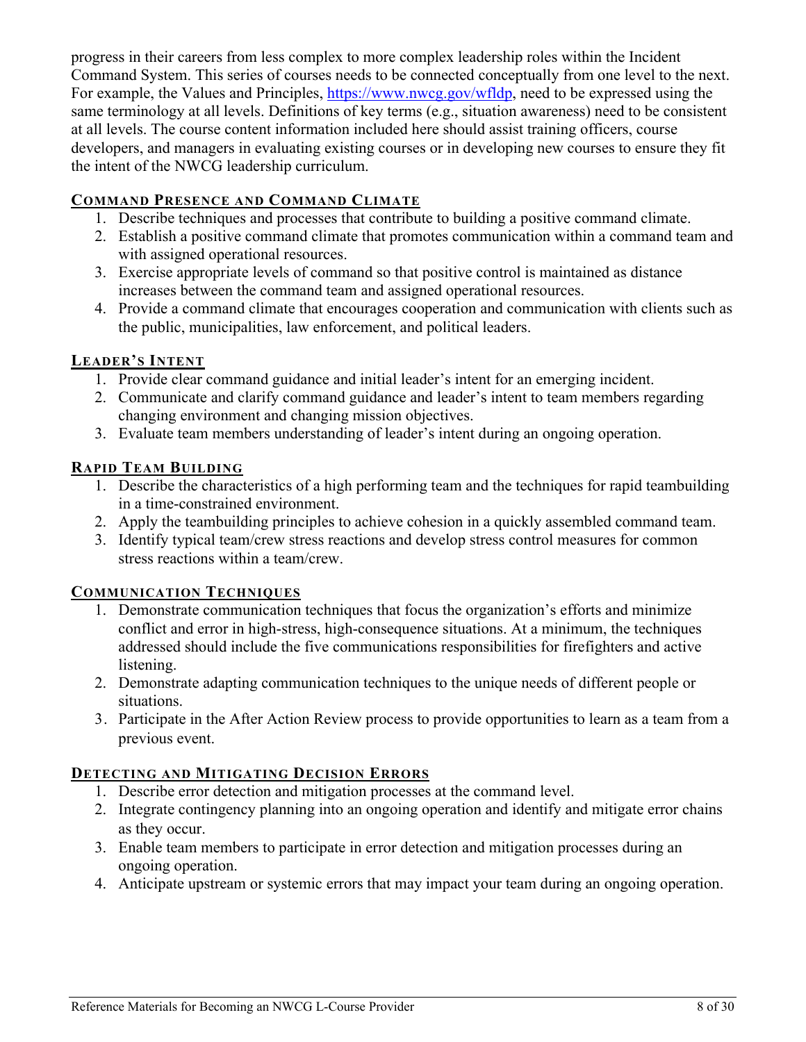progress in their careers from less complex to more complex leadership roles within the Incident Command System. This series of courses needs to be connected conceptually from one level to the next. For example, the Values and Principles, [https://www.nwcg.gov/wfldp,](https://www.nwcg.gov/wfldp) need to be expressed using the same terminology at all levels. Definitions of key terms (e.g., situation awareness) need to be consistent at all levels. The course content information included here should assist training officers, course developers, and managers in evaluating existing courses or in developing new courses to ensure they fit the intent of the NWCG leadership curriculum.

#### <span id="page-10-0"></span>**COMMAND PRESENCE AND COMMAND CLIMATE**

- 1. Describe techniques and processes that contribute to building a positive command climate.
- 2. Establish a positive command climate that promotes communication within a command team and with assigned operational resources.
- 3. Exercise appropriate levels of command so that positive control is maintained as distance increases between the command team and assigned operational resources.
- 4. Provide a command climate that encourages cooperation and communication with clients such as the public, municipalities, law enforcement, and political leaders.

#### <span id="page-10-1"></span>**LEADER'S INTENT**

- 1. Provide clear command guidance and initial leader's intent for an emerging incident.
- 2. Communicate and clarify command guidance and leader's intent to team members regarding changing environment and changing mission objectives.
- 3. Evaluate team members understanding of leader's intent during an ongoing operation.

#### <span id="page-10-2"></span>**RAPID TEAM BUILDING**

- 1. Describe the characteristics of a high performing team and the techniques for rapid teambuilding in a time-constrained environment.
- 2. Apply the teambuilding principles to achieve cohesion in a quickly assembled command team.
- 3. Identify typical team/crew stress reactions and develop stress control measures for common stress reactions within a team/crew.

#### <span id="page-10-3"></span>**COMMUNICATION TECHNIQUES**

- 1. Demonstrate communication techniques that focus the organization's efforts and minimize conflict and error in high-stress, high-consequence situations. At a minimum, the techniques addressed should include the five communications responsibilities for firefighters and active listening.
- 2. Demonstrate adapting communication techniques to the unique needs of different people or situations.
- 3. Participate in the After Action Review process to provide opportunities to learn as a team from a previous event.

#### <span id="page-10-4"></span>**DETECTING AND MITIGATING DECISION ERRORS**

- 1. Describe error detection and mitigation processes at the command level.
- 2. Integrate contingency planning into an ongoing operation and identify and mitigate error chains as they occur.
- 3. Enable team members to participate in error detection and mitigation processes during an ongoing operation.
- 4. Anticipate upstream or systemic errors that may impact your team during an ongoing operation.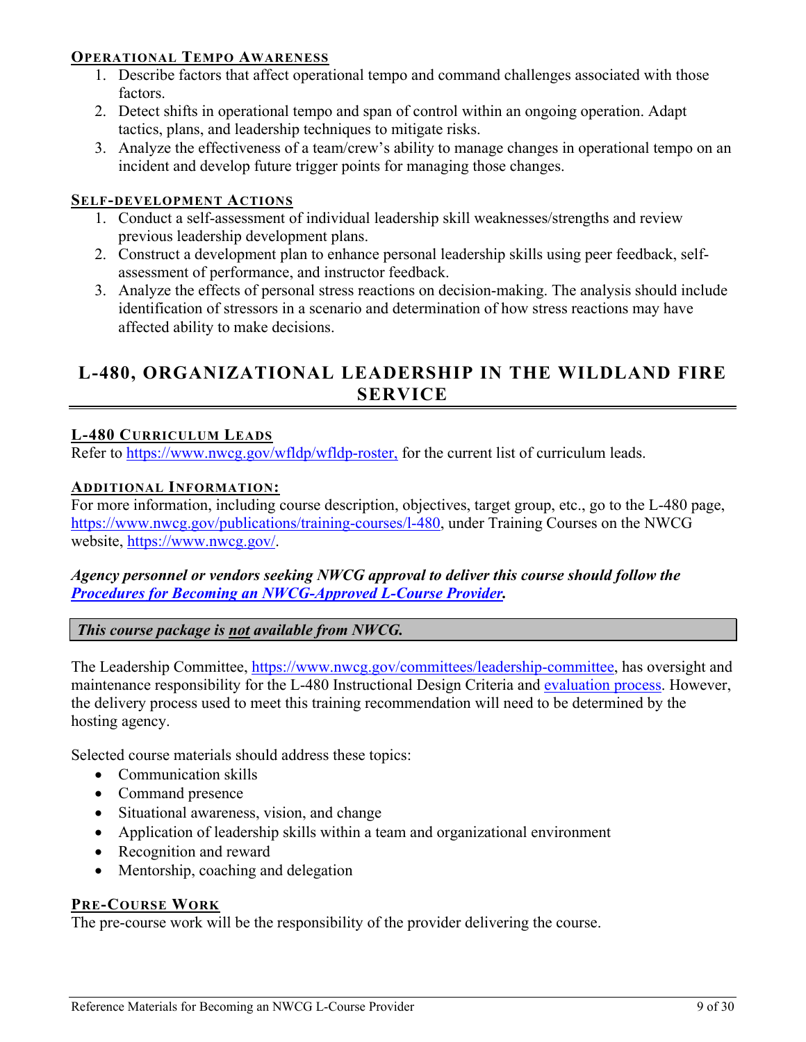#### <span id="page-11-0"></span>**OPERATIONAL TEMPO AWARENESS**

- 1. Describe factors that affect operational tempo and command challenges associated with those factors.
- 2. Detect shifts in operational tempo and span of control within an ongoing operation. Adapt tactics, plans, and leadership techniques to mitigate risks.
- 3. Analyze the effectiveness of a team/crew's ability to manage changes in operational tempo on an incident and develop future trigger points for managing those changes.

#### <span id="page-11-1"></span>**SELF-DEVELOPMENT ACTIONS**

- 1. Conduct a self-assessment of individual leadership skill weaknesses/strengths and review previous leadership development plans.
- 2. Construct a development plan to enhance personal leadership skills using peer feedback, selfassessment of performance, and instructor feedback.
- 3. Analyze the effects of personal stress reactions on decision-making. The analysis should include identification of stressors in a scenario and determination of how stress reactions may have affected ability to make decisions.

## <span id="page-11-2"></span>**L-480, ORGANIZATIONAL LEADERSHIP IN THE WILDLAND FIRE SERVICE**

#### <span id="page-11-3"></span>**L-480 CURRICULUM LEADS**

Refer to [https://www.nwcg.gov/wfldp/wfldp-roster,](https://www.nwcg.gov/wfldp/wfldp-roster) for the current list of curriculum leads.

#### <span id="page-11-4"></span>**ADDITIONAL INFORMATION:**

For more information, including course description, objectives, target group, etc., go to the L-480 page, [https://www.nwcg.gov/publications/training-courses/l-480,](https://www.nwcg.gov/publications/training-courses/l-480) under Training Courses on the NWCG website, [https://www.nwcg.gov/.](https://www.nwcg.gov/)

#### *Agency personnel or vendors seeking NWCG approval to deliver this course should follow the Procedures for [Becoming an NWCG-Approved L-Course](#page-27-3) Provider.*

*This course package is not available from NWCG.*

The Leadership Committee, [https://www.nwcg.gov/committees/leadership-committee,](https://www.nwcg.gov/committees/leadership-committee) has oversight and maintenance responsibility for the L-480 Instructional Design Criteria and [evaluation process.](#page-27-3) However, the delivery process used to meet this training recommendation will need to be determined by the hosting agency.

Selected course materials should address these topics:

- Communication skills
- Command presence
- Situational awareness, vision, and change
- Application of leadership skills within a team and organizational environment
- Recognition and reward
- Mentorship, coaching and delegation

#### <span id="page-11-5"></span>**PRE-COURSE WORK**

The pre-course work will be the responsibility of the provider delivering the course.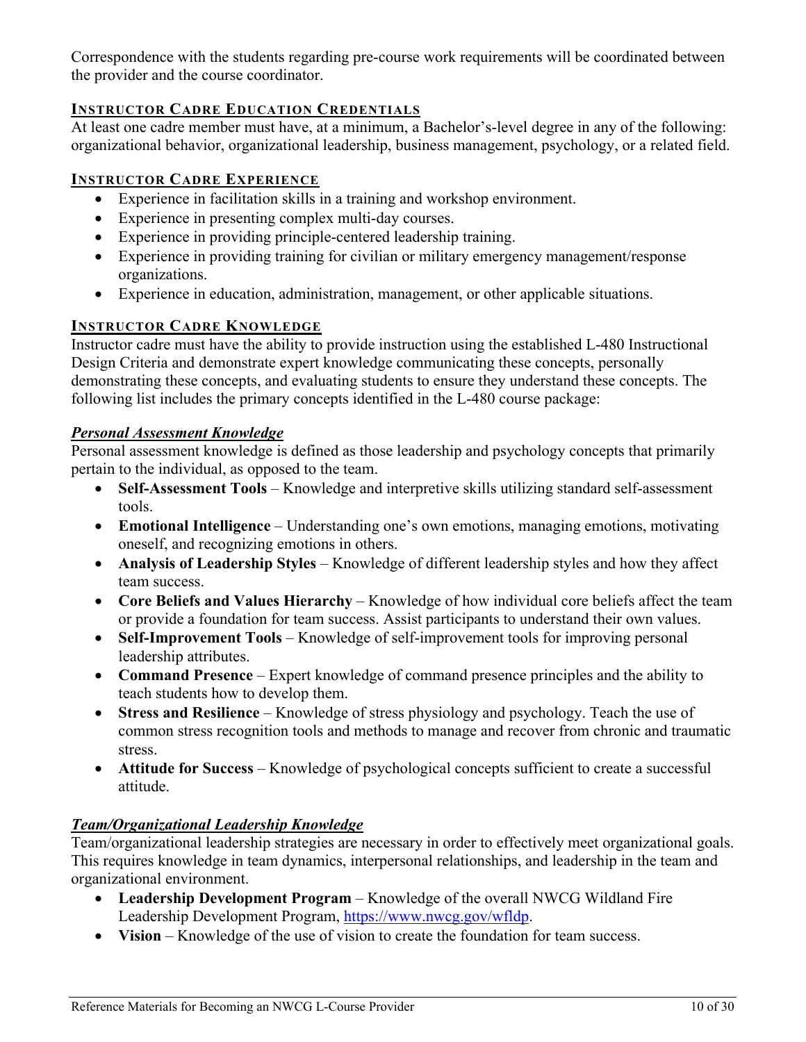Correspondence with the students regarding pre-course work requirements will be coordinated between the provider and the course coordinator.

#### <span id="page-12-0"></span>**INSTRUCTOR CADRE EDUCATION CREDENTIALS**

At least one cadre member must have, at a minimum, a Bachelor's-level degree in any of the following: organizational behavior, organizational leadership, business management, psychology, or a related field.

#### <span id="page-12-1"></span>**INSTRUCTOR CADRE EXPERIENCE**

- Experience in facilitation skills in a training and workshop environment.
- Experience in presenting complex multi-day courses.
- Experience in providing principle-centered leadership training.
- Experience in providing training for civilian or military emergency management/response organizations.
- Experience in education, administration, management, or other applicable situations.

#### <span id="page-12-2"></span>**INSTRUCTOR CADRE KNOWLEDGE**

Instructor cadre must have the ability to provide instruction using the established L-480 Instructional Design Criteria and demonstrate expert knowledge communicating these concepts, personally demonstrating these concepts, and evaluating students to ensure they understand these concepts. The following list includes the primary concepts identified in the L-480 course package:

#### <span id="page-12-3"></span>*Personal Assessment Knowledge*

Personal assessment knowledge is defined as those leadership and psychology concepts that primarily pertain to the individual, as opposed to the team.

- **Self-Assessment Tools** Knowledge and interpretive skills utilizing standard self-assessment tools.
- **Emotional Intelligence** Understanding one's own emotions, managing emotions, motivating oneself, and recognizing emotions in others.
- **Analysis of Leadership Styles** Knowledge of different leadership styles and how they affect team success.
- **Core Beliefs and Values Hierarchy** Knowledge of how individual core beliefs affect the team or provide a foundation for team success. Assist participants to understand their own values.
- **Self-Improvement Tools** Knowledge of self-improvement tools for improving personal leadership attributes.
- **Command Presence** Expert knowledge of command presence principles and the ability to teach students how to develop them.
- **Stress and Resilience** Knowledge of stress physiology and psychology. Teach the use of common stress recognition tools and methods to manage and recover from chronic and traumatic stress.
- **Attitude for Success** Knowledge of psychological concepts sufficient to create a successful attitude.

#### <span id="page-12-4"></span>*Team/Organizational Leadership Knowledge*

Team/organizational leadership strategies are necessary in order to effectively meet organizational goals. This requires knowledge in team dynamics, interpersonal relationships, and leadership in the team and organizational environment.

- **Leadership Development Program** Knowledge of the overall NWCG Wildland Fire Leadership Development Program, [https://www.nwcg.gov/wfldp.](https://www.nwcg.gov/wfldp)
- **Vision** Knowledge of the use of vision to create the foundation for team success.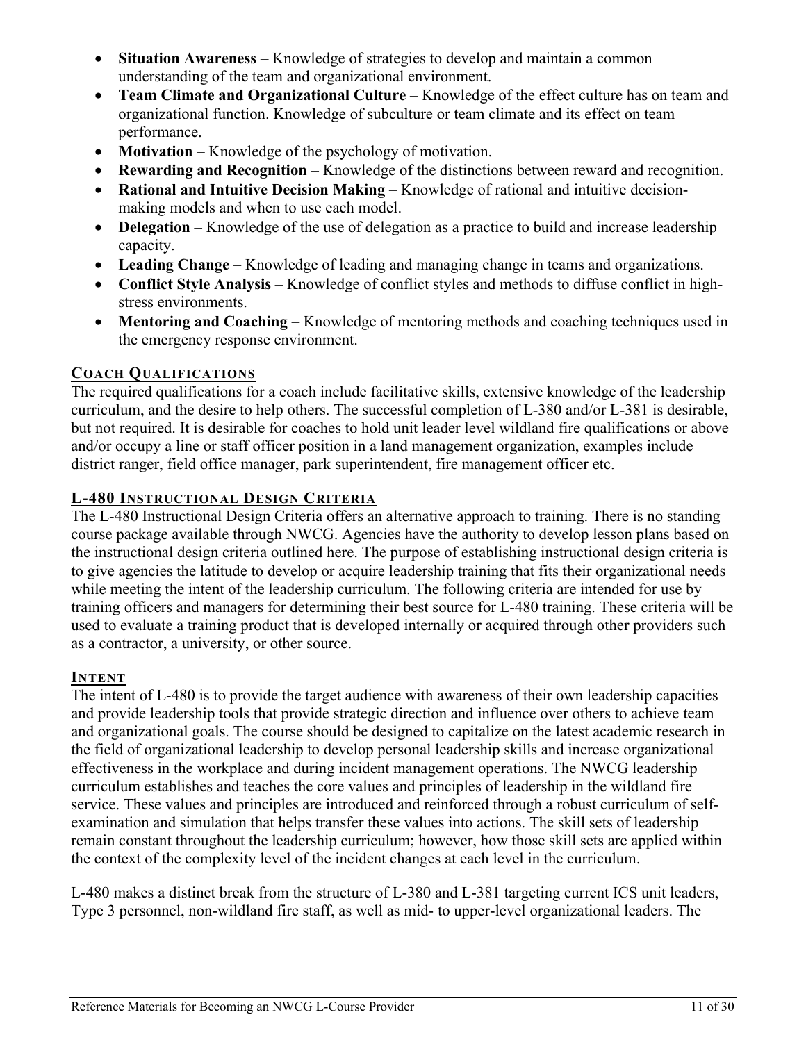- **Situation Awareness** Knowledge of strategies to develop and maintain a common understanding of the team and organizational environment.
- **Team Climate and Organizational Culture** Knowledge of the effect culture has on team and organizational function. Knowledge of subculture or team climate and its effect on team performance.
- **Motivation** Knowledge of the psychology of motivation.
- **Rewarding and Recognition** Knowledge of the distinctions between reward and recognition.
- **Rational and Intuitive Decision Making** Knowledge of rational and intuitive decisionmaking models and when to use each model.
- **Delegation** Knowledge of the use of delegation as a practice to build and increase leadership capacity.
- **Leading Change**  Knowledge of leading and managing change in teams and organizations.
- **Conflict Style Analysis** Knowledge of conflict styles and methods to diffuse conflict in highstress environments.
- **Mentoring and Coaching** Knowledge of mentoring methods and coaching techniques used in the emergency response environment.

#### <span id="page-13-0"></span>**COACH QUALIFICATIONS**

The required qualifications for a coach include facilitative skills, extensive knowledge of the leadership curriculum, and the desire to help others. The successful completion of L-380 and/or L-381 is desirable, but not required. It is desirable for coaches to hold unit leader level wildland fire qualifications or above and/or occupy a line or staff officer position in a land management organization, examples include district ranger, field office manager, park superintendent, fire management officer etc.

#### <span id="page-13-1"></span>**L-480 INSTRUCTIONAL DESIGN CRITERIA**

The L-480 Instructional Design Criteria offers an alternative approach to training. There is no standing course package available through NWCG. Agencies have the authority to develop lesson plans based on the instructional design criteria outlined here. The purpose of establishing instructional design criteria is to give agencies the latitude to develop or acquire leadership training that fits their organizational needs while meeting the intent of the leadership curriculum. The following criteria are intended for use by training officers and managers for determining their best source for L-480 training. These criteria will be used to evaluate a training product that is developed internally or acquired through other providers such as a contractor, a university, or other source.

#### <span id="page-13-2"></span>**INTENT**

The intent of L-480 is to provide the target audience with awareness of their own leadership capacities and provide leadership tools that provide strategic direction and influence over others to achieve team and organizational goals. The course should be designed to capitalize on the latest academic research in the field of organizational leadership to develop personal leadership skills and increase organizational effectiveness in the workplace and during incident management operations. The NWCG leadership curriculum establishes and teaches the core values and principles of leadership in the wildland fire service. These values and principles are introduced and reinforced through a robust curriculum of selfexamination and simulation that helps transfer these values into actions. The skill sets of leadership remain constant throughout the leadership curriculum; however, how those skill sets are applied within the context of the complexity level of the incident changes at each level in the curriculum.

L-480 makes a distinct break from the structure of L-380 and L-381 targeting current ICS unit leaders, Type 3 personnel, non-wildland fire staff, as well as mid- to upper-level organizational leaders. The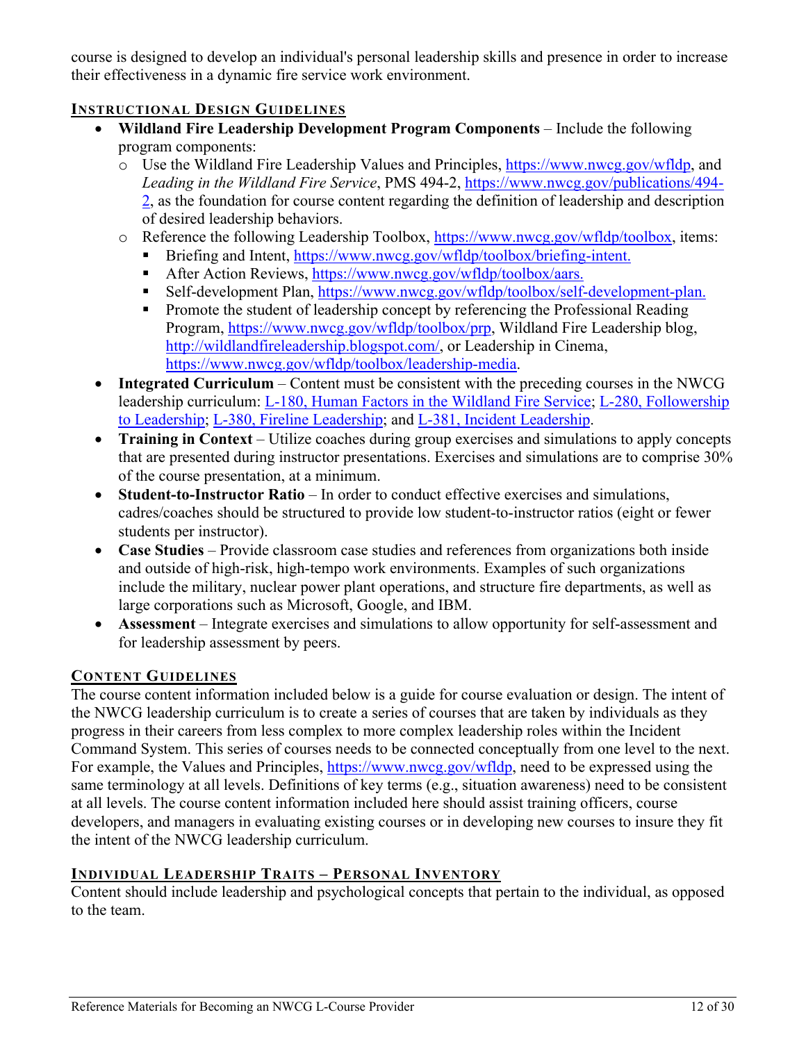course is designed to develop an individual's personal leadership skills and presence in order to increase their effectiveness in a dynamic fire service work environment.

#### <span id="page-14-0"></span>**INSTRUCTIONAL DESIGN GUIDELINES**

- **Wildland Fire Leadership Development Program Components** Include the following program components:
	- o Use the Wildland Fire Leadership Values and Principles, [https://www.nwcg.gov/wfldp,](https://www.nwcg.gov/wfldp) and *Leading in the Wildland Fire Service*, PMS 494-2, [https://www.nwcg.gov/publications/494-](https://www.nwcg.gov/publications/494-2) [2,](https://www.nwcg.gov/publications/494-2) as the foundation for course content regarding the definition of leadership and description of desired leadership behaviors.
	- o Reference the following Leadership Toolbox, [https://www.nwcg.gov/wfldp/toolbox,](https://www.nwcg.gov/wfldp/toolbox) items:
		- Briefing and Intent, [https://www.nwcg.gov/wfldp/toolbox/briefing-intent.](https://www.nwcg.gov/wfldp/toolbox/briefing-intent)
		- After Action Reviews, [https://www.nwcg.gov/wfldp/toolbox/aars.](https://www.nwcg.gov/wfldp/toolbox/aars)
		- Self-development Plan, [https://www.nwcg.gov/wfldp/toolbox/self-development-plan.](https://www.nwcg.gov/wfldp/toolbox/self-development-plan)
		- **Promote the student of leadership concept by referencing the Professional Reading** Program, [https://www.nwcg.gov/wfldp/toolbox/prp,](https://www.nwcg.gov/wfldp/toolbox/prp) Wildland Fire Leadership blog, [http://wildlandfireleadership.blogspot.com/,](http://wildlandfireleadership.blogspot.com/) or Leadership in Cinema, [https://www.nwcg.gov/wfldp/toolbox/leadership-media.](https://www.nwcg.gov/wfldp/toolbox/leadership-media)
- **Integrated Curriculum** Content must be consistent with the preceding courses in the NWCG leadership curriculum: L-180, [Human Factors in the Wildland Fire Service;](#page-4-10) L-280, [Followership](#page-4-4)  [to Leadership;](#page-4-4) L-380, [Fireline Leadership;](#page-4-7) and L-381, [Incident Leadership.](#page-7-3)
- **Training in Context** Utilize coaches during group exercises and simulations to apply concepts that are presented during instructor presentations. Exercises and simulations are to comprise 30% of the course presentation, at a minimum.
- **Student-to-Instructor Ratio** In order to conduct effective exercises and simulations, cadres/coaches should be structured to provide low student-to-instructor ratios (eight or fewer students per instructor).
- **Case Studies** Provide classroom case studies and references from organizations both inside and outside of high-risk, high-tempo work environments. Examples of such organizations include the military, nuclear power plant operations, and structure fire departments, as well as large corporations such as Microsoft, Google, and IBM.
- **Assessment**  Integrate exercises and simulations to allow opportunity for self-assessment and for leadership assessment by peers.

#### <span id="page-14-1"></span>**CONTENT GUIDELINES**

The course content information included below is a guide for course evaluation or design. The intent of the NWCG leadership curriculum is to create a series of courses that are taken by individuals as they progress in their careers from less complex to more complex leadership roles within the Incident Command System. This series of courses needs to be connected conceptually from one level to the next. For example, the Values and Principles, [https://www.nwcg.gov/wfldp,](https://www.nwcg.gov/wfldp) need to be expressed using the same terminology at all levels. Definitions of key terms (e.g., situation awareness) need to be consistent at all levels. The course content information included here should assist training officers, course developers, and managers in evaluating existing courses or in developing new courses to insure they fit the intent of the NWCG leadership curriculum.

#### <span id="page-14-2"></span>**INDIVIDUAL LEADERSHIP TRAITS – PERSONAL INVENTORY**

Content should include leadership and psychological concepts that pertain to the individual, as opposed to the team.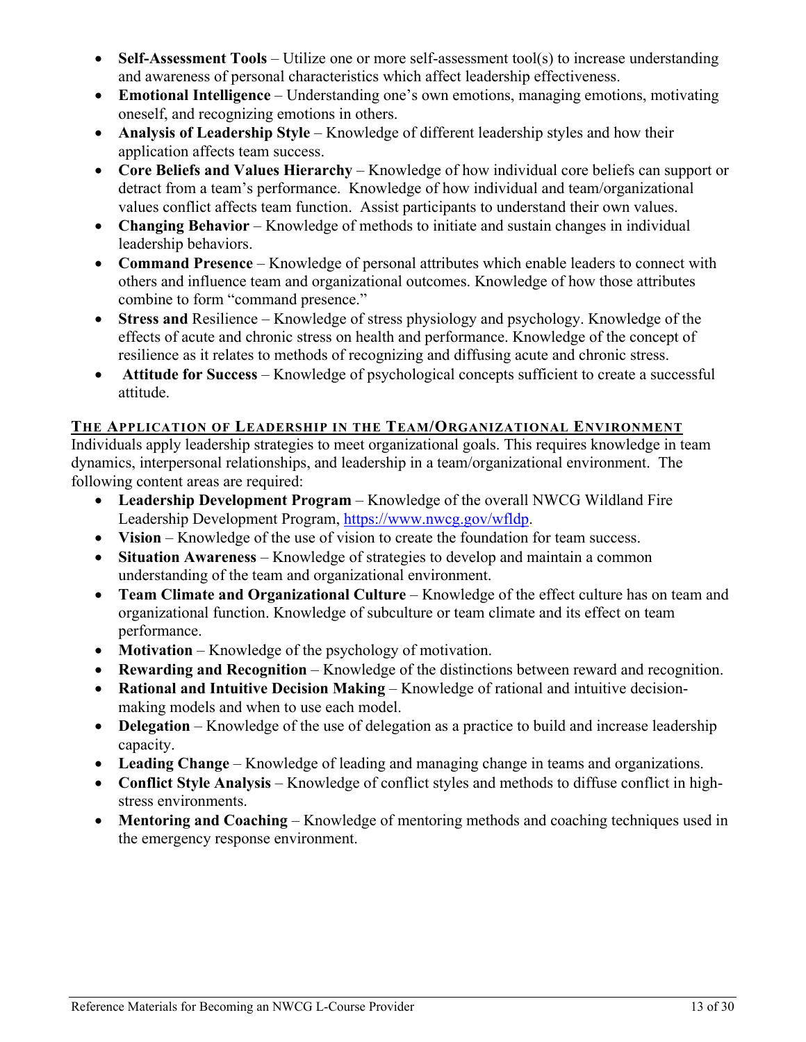- **Self-Assessment Tools** Utilize one or more self-assessment tool(s) to increase understanding and awareness of personal characteristics which affect leadership effectiveness.
- **Emotional Intelligence** Understanding one's own emotions, managing emotions, motivating oneself, and recognizing emotions in others.
- **Analysis of Leadership Style** Knowledge of different leadership styles and how their application affects team success.
- **Core Beliefs and Values Hierarchy** Knowledge of how individual core beliefs can support or detract from a team's performance. Knowledge of how individual and team/organizational values conflict affects team function. Assist participants to understand their own values.
- **Changing Behavior** Knowledge of methods to initiate and sustain changes in individual leadership behaviors.
- **Command Presence** Knowledge of personal attributes which enable leaders to connect with others and influence team and organizational outcomes. Knowledge of how those attributes combine to form "command presence."
- **Stress and** Resilience Knowledge of stress physiology and psychology. Knowledge of the effects of acute and chronic stress on health and performance. Knowledge of the concept of resilience as it relates to methods of recognizing and diffusing acute and chronic stress.
- **Attitude for Success** Knowledge of psychological concepts sufficient to create a successful attitude.

#### <span id="page-15-0"></span>**THE APPLICATION OF LEADERSHIP IN THE TEAM/ORGANIZATIONAL ENVIRONMENT**

Individuals apply leadership strategies to meet organizational goals. This requires knowledge in team dynamics, interpersonal relationships, and leadership in a team/organizational environment. The following content areas are required:

- **Leadership Development Program** Knowledge of the overall NWCG Wildland Fire Leadership Development Program, [https://www.nwcg.gov/wfldp.](https://www.nwcg.gov/wfldp)
- **Vision** Knowledge of the use of vision to create the foundation for team success.
- **Situation Awareness** Knowledge of strategies to develop and maintain a common understanding of the team and organizational environment.
- **Team Climate and Organizational Culture** Knowledge of the effect culture has on team and organizational function. Knowledge of subculture or team climate and its effect on team performance.
- **Motivation** Knowledge of the psychology of motivation.
- **Rewarding and Recognition** Knowledge of the distinctions between reward and recognition.
- **Rational and Intuitive Decision Making** Knowledge of rational and intuitive decisionmaking models and when to use each model.
- **Delegation** Knowledge of the use of delegation as a practice to build and increase leadership capacity.
- **Leading Change**  Knowledge of leading and managing change in teams and organizations.
- **Conflict Style Analysis** Knowledge of conflict styles and methods to diffuse conflict in highstress environments.
- **Mentoring and Coaching** Knowledge of mentoring methods and coaching techniques used in the emergency response environment.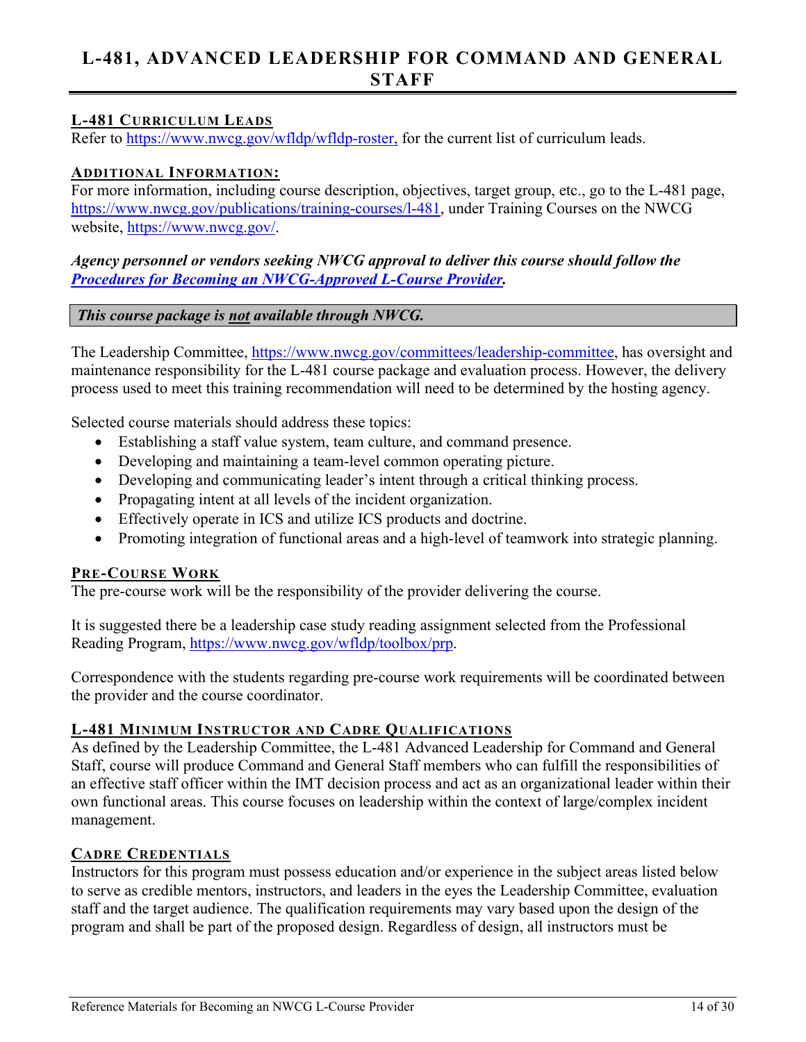## <span id="page-16-0"></span>**L-481, ADVANCED LEADERSHIP FOR COMMAND AND GENERAL STAFF**

#### <span id="page-16-1"></span>**L-481 CURRICULUM LEADS**

Refer to [https://www.nwcg.gov/wfldp/wfldp-roster,](https://www.nwcg.gov/wfldp/wfldp-roster) for the current list of curriculum leads.

#### <span id="page-16-2"></span>**ADDITIONAL INFORMATION:**

For more information, including course description, objectives, target group, etc., go to the L-481 page, [https://www.nwcg.gov/publications/training-courses/l-481,](https://www.nwcg.gov/publications/training-courses/l-480) under Training Courses on the NWCG website, [https://www.nwcg.gov/.](https://www.nwcg.gov/)

#### *Agency personnel or vendors seeking NWCG approval to deliver this course should follow the Procedures for [Becoming an NWCG-Approved L-Course](#page-27-3) Provider.*

#### *This course package is not available through NWCG.*

The Leadership Committee, [https://www.nwcg.gov/committees/leadership-committee,](https://www.nwcg.gov/committees/leadership-committee) has oversight and maintenance responsibility for the L-481 course package and evaluation process. However, the delivery process used to meet this training recommendation will need to be determined by the hosting agency.

Selected course materials should address these topics:

- Establishing a staff value system, team culture, and command presence.
- Developing and maintaining a team-level common operating picture.
- Developing and communicating leader's intent through a critical thinking process.
- Propagating intent at all levels of the incident organization.
- Effectively operate in ICS and utilize ICS products and doctrine.
- Promoting integration of functional areas and a high-level of teamwork into strategic planning.

#### <span id="page-16-3"></span>**PRE-COURSE WORK**

The pre-course work will be the responsibility of the provider delivering the course.

It is suggested there be a leadership case study reading assignment selected from the Professional Reading Program, [https://www.nwcg.gov/wfldp/toolbox/prp.](https://www.nwcg.gov/wfldp/toolbox/prp)

Correspondence with the students regarding pre-course work requirements will be coordinated between the provider and the course coordinator.

#### <span id="page-16-4"></span>**L-481 MINIMUM INSTRUCTOR AND CADRE QUALIFICATIONS**

As defined by the Leadership Committee, the L-481 Advanced Leadership for Command and General Staff, course will produce Command and General Staff members who can fulfill the responsibilities of an effective staff officer within the IMT decision process and act as an organizational leader within their own functional areas. This course focuses on leadership within the context of large/complex incident management.

#### <span id="page-16-5"></span>**CADRE CREDENTIALS**

Instructors for this program must possess education and/or experience in the subject areas listed below to serve as credible mentors, instructors, and leaders in the eyes the Leadership Committee, evaluation staff and the target audience. The qualification requirements may vary based upon the design of the program and shall be part of the proposed design. Regardless of design, all instructors must be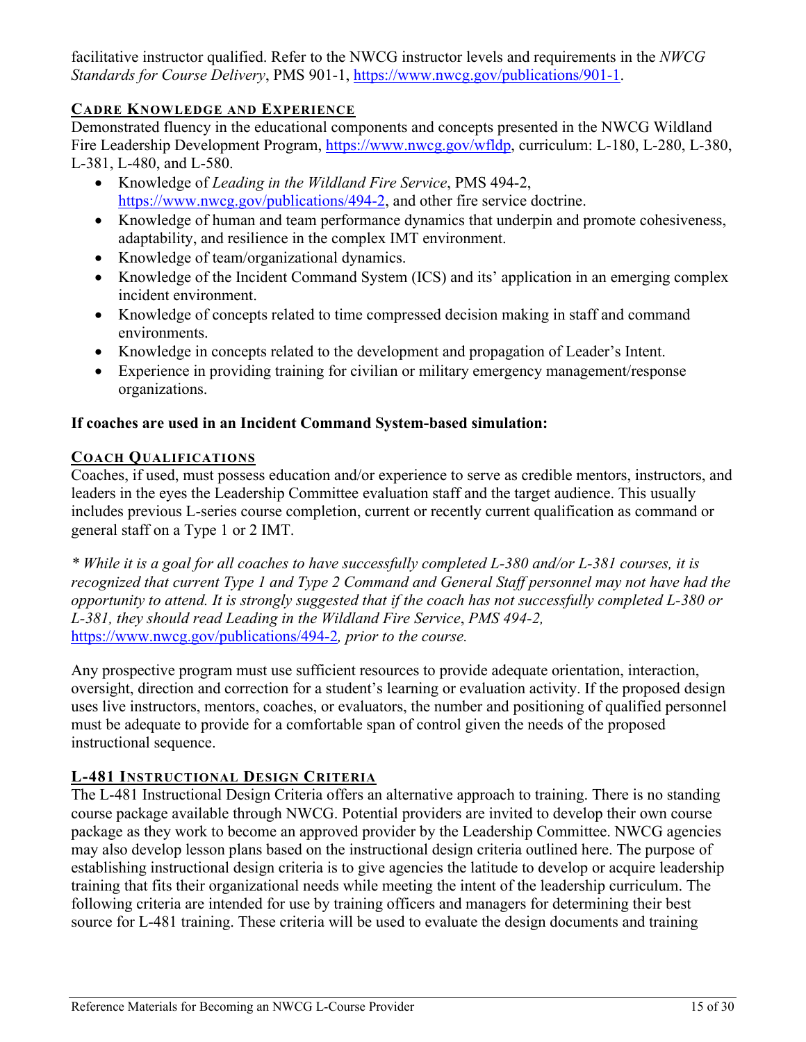facilitative instructor qualified. Refer to the NWCG instructor levels and requirements in the *NWCG Standards for Course Delivery*, PMS 901-1, [https://www.nwcg.gov/publications/901-1.](https://www.nwcg.gov/publications/901-1)

#### <span id="page-17-0"></span>**CADRE KNOWLEDGE AND EXPERIENCE**

Demonstrated fluency in the educational components and concepts presented in the NWCG Wildland Fire Leadership Development Program, [https://www.nwcg.gov/wfldp,](https://www.nwcg.gov/wfldp) curriculum: L-180, L-280, L-380, L-381, L-480, and L-580.

- Knowledge of *Leading in the Wildland Fire Service*, PMS 494-2, [https://www.nwcg.gov/publications/494-2,](https://www.nwcg.gov/publications/494-2) and other fire service doctrine.
- Knowledge of human and team performance dynamics that underpin and promote cohesiveness, adaptability, and resilience in the complex IMT environment.
- Knowledge of team/organizational dynamics.
- Knowledge of the Incident Command System (ICS) and its' application in an emerging complex incident environment.
- Knowledge of concepts related to time compressed decision making in staff and command environments.
- Knowledge in concepts related to the development and propagation of Leader's Intent.
- Experience in providing training for civilian or military emergency management/response organizations.

#### **If coaches are used in an Incident Command System-based simulation:**

#### <span id="page-17-1"></span>**COACH QUALIFICATIONS**

Coaches, if used, must possess education and/or experience to serve as credible mentors, instructors, and leaders in the eyes the Leadership Committee evaluation staff and the target audience. This usually includes previous L-series course completion, current or recently current qualification as command or general staff on a Type 1 or 2 IMT.

*\* While it is a goal for all coaches to have successfully completed L-380 and/or L-381 courses, it is recognized that current Type 1 and Type 2 Command and General Staff personnel may not have had the opportunity to attend. It is strongly suggested that if the coach has not successfully completed L-380 or L-381, they should read Leading in the Wildland Fire Service*, *PMS 494-2,*  <https://www.nwcg.gov/publications/494-2>*, prior to the course.*

Any prospective program must use sufficient resources to provide adequate orientation, interaction, oversight, direction and correction for a student's learning or evaluation activity. If the proposed design uses live instructors, mentors, coaches, or evaluators, the number and positioning of qualified personnel must be adequate to provide for a comfortable span of control given the needs of the proposed instructional sequence.

#### <span id="page-17-2"></span>**L-481 INSTRUCTIONAL DESIGN CRITERIA**

The L-481 Instructional Design Criteria offers an alternative approach to training. There is no standing course package available through NWCG. Potential providers are invited to develop their own course package as they work to become an approved provider by the Leadership Committee. NWCG agencies may also develop lesson plans based on the instructional design criteria outlined here. The purpose of establishing instructional design criteria is to give agencies the latitude to develop or acquire leadership training that fits their organizational needs while meeting the intent of the leadership curriculum. The following criteria are intended for use by training officers and managers for determining their best source for L-481 training. These criteria will be used to evaluate the design documents and training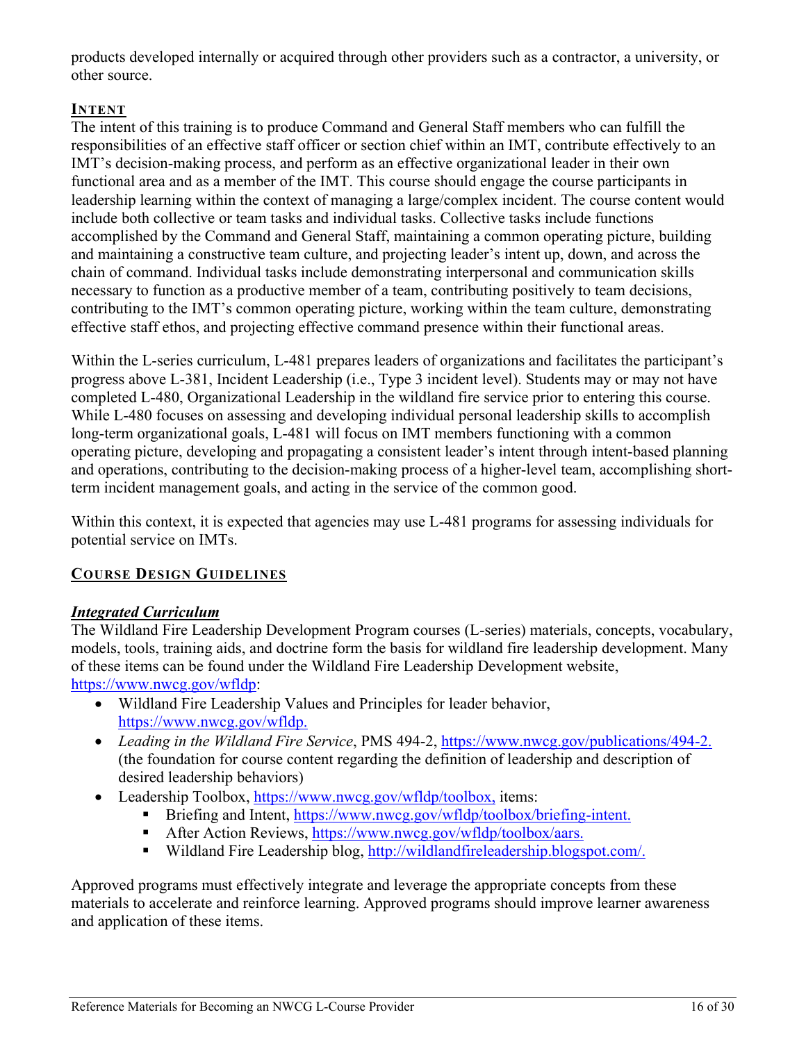products developed internally or acquired through other providers such as a contractor, a university, or other source.

#### <span id="page-18-0"></span>**INTENT**

The intent of this training is to produce Command and General Staff members who can fulfill the responsibilities of an effective staff officer or section chief within an IMT, contribute effectively to an IMT's decision-making process, and perform as an effective organizational leader in their own functional area and as a member of the IMT. This course should engage the course participants in leadership learning within the context of managing a large/complex incident. The course content would include both collective or team tasks and individual tasks. Collective tasks include functions accomplished by the Command and General Staff, maintaining a common operating picture, building and maintaining a constructive team culture, and projecting leader's intent up, down, and across the chain of command. Individual tasks include demonstrating interpersonal and communication skills necessary to function as a productive member of a team, contributing positively to team decisions, contributing to the IMT's common operating picture, working within the team culture, demonstrating effective staff ethos, and projecting effective command presence within their functional areas.

Within the L-series curriculum, L-481 prepares leaders of organizations and facilitates the participant's progress above L-381, Incident Leadership (i.e., Type 3 incident level). Students may or may not have completed L-480, Organizational Leadership in the wildland fire service prior to entering this course. While L-480 focuses on assessing and developing individual personal leadership skills to accomplish long-term organizational goals, L-481 will focus on IMT members functioning with a common operating picture, developing and propagating a consistent leader's intent through intent-based planning and operations, contributing to the decision-making process of a higher-level team, accomplishing shortterm incident management goals, and acting in the service of the common good.

Within this context, it is expected that agencies may use L-481 programs for assessing individuals for potential service on IMTs.

#### <span id="page-18-2"></span><span id="page-18-1"></span>**COURSE DESIGN GUIDELINES**

#### *Integrated Curriculum*

The Wildland Fire Leadership Development Program courses (L-series) materials, concepts, vocabulary, models, tools, training aids, and doctrine form the basis for wildland fire leadership development. Many of these items can be found under the Wildland Fire Leadership Development website, [https://www.nwcg.gov/wfldp:](https://www.nwcg.gov/wfldp)

- Wildland Fire Leadership Values and Principles for leader behavior, [https://www.nwcg.gov/wfldp.](https://www.nwcg.gov/wfldp)
- *Leading in the Wildland Fire Service*, PMS 494-2, [https://www.nwcg.gov/publications/494-2.](https://www.nwcg.gov/publications/494-2) (the foundation for course content regarding the definition of leadership and description of desired leadership behaviors)
- Leadership Toolbox, [https://www.nwcg.gov/wfldp/toolbox,](https://www.nwcg.gov/wfldp/toolbox) items:
	- Briefing and Intent, [https://www.nwcg.gov/wfldp/toolbox/briefing-intent.](https://www.nwcg.gov/wfldp/toolbox/briefing-intent)
	- After Action Reviews, [https://www.nwcg.gov/wfldp/toolbox/aars.](https://www.nwcg.gov/wfldp/toolbox/aars)
	- Wildland Fire Leadership blog, [http://wildlandfireleadership.blogspot.com/.](http://wildlandfireleadership.blogspot.com/)

Approved programs must effectively integrate and leverage the appropriate concepts from these materials to accelerate and reinforce learning. Approved programs should improve learner awareness and application of these items.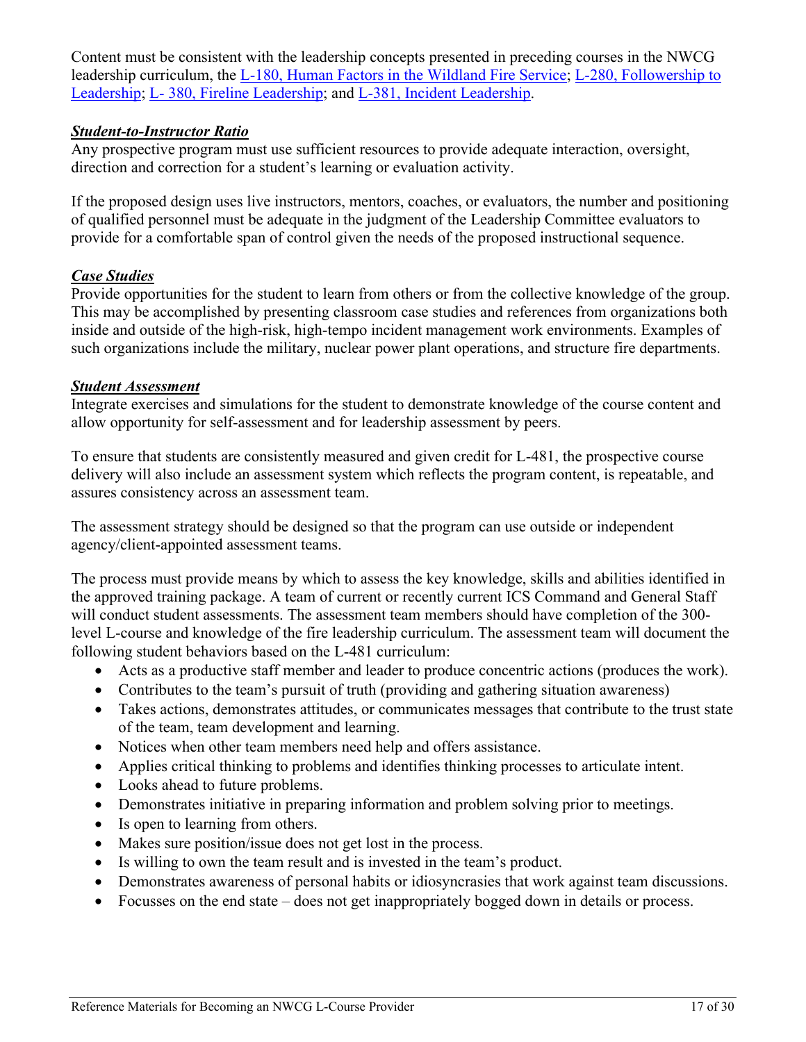Content must be consistent with the leadership concepts presented in preceding courses in the NWCG leadership curriculum, the [L-180, Human Factors in the Wildland Fire Service;](#page-4-10) [L-280, Followership to](#page-4-4)  [Leadership;](#page-4-4) L- [380, Fireline Leadership;](#page-4-7) and [L-381, Incident Leadership.](#page-7-3)

#### <span id="page-19-0"></span>*Student-to-Instructor Ratio*

Any prospective program must use sufficient resources to provide adequate interaction, oversight, direction and correction for a student's learning or evaluation activity.

If the proposed design uses live instructors, mentors, coaches, or evaluators, the number and positioning of qualified personnel must be adequate in the judgment of the Leadership Committee evaluators to provide for a comfortable span of control given the needs of the proposed instructional sequence.

#### <span id="page-19-1"></span>*Case Studies*

Provide opportunities for the student to learn from others or from the collective knowledge of the group. This may be accomplished by presenting classroom case studies and references from organizations both inside and outside of the high-risk, high-tempo incident management work environments. Examples of such organizations include the military, nuclear power plant operations, and structure fire departments.

#### <span id="page-19-2"></span>*Student Assessment*

Integrate exercises and simulations for the student to demonstrate knowledge of the course content and allow opportunity for self-assessment and for leadership assessment by peers.

To ensure that students are consistently measured and given credit for L-481, the prospective course delivery will also include an assessment system which reflects the program content, is repeatable, and assures consistency across an assessment team.

The assessment strategy should be designed so that the program can use outside or independent agency/client-appointed assessment teams.

The process must provide means by which to assess the key knowledge, skills and abilities identified in the approved training package. A team of current or recently current ICS Command and General Staff will conduct student assessments. The assessment team members should have completion of the 300 level L-course and knowledge of the fire leadership curriculum. The assessment team will document the following student behaviors based on the L-481 curriculum:

- Acts as a productive staff member and leader to produce concentric actions (produces the work).
- Contributes to the team's pursuit of truth (providing and gathering situation awareness)
- Takes actions, demonstrates attitudes, or communicates messages that contribute to the trust state of the team, team development and learning.
- Notices when other team members need help and offers assistance.
- Applies critical thinking to problems and identifies thinking processes to articulate intent.
- Looks ahead to future problems.
- Demonstrates initiative in preparing information and problem solving prior to meetings.
- Is open to learning from others.
- Makes sure position/issue does not get lost in the process.
- Is willing to own the team result and is invested in the team's product.
- Demonstrates awareness of personal habits or idiosyncrasies that work against team discussions.
- Focusses on the end state does not get inappropriately bogged down in details or process.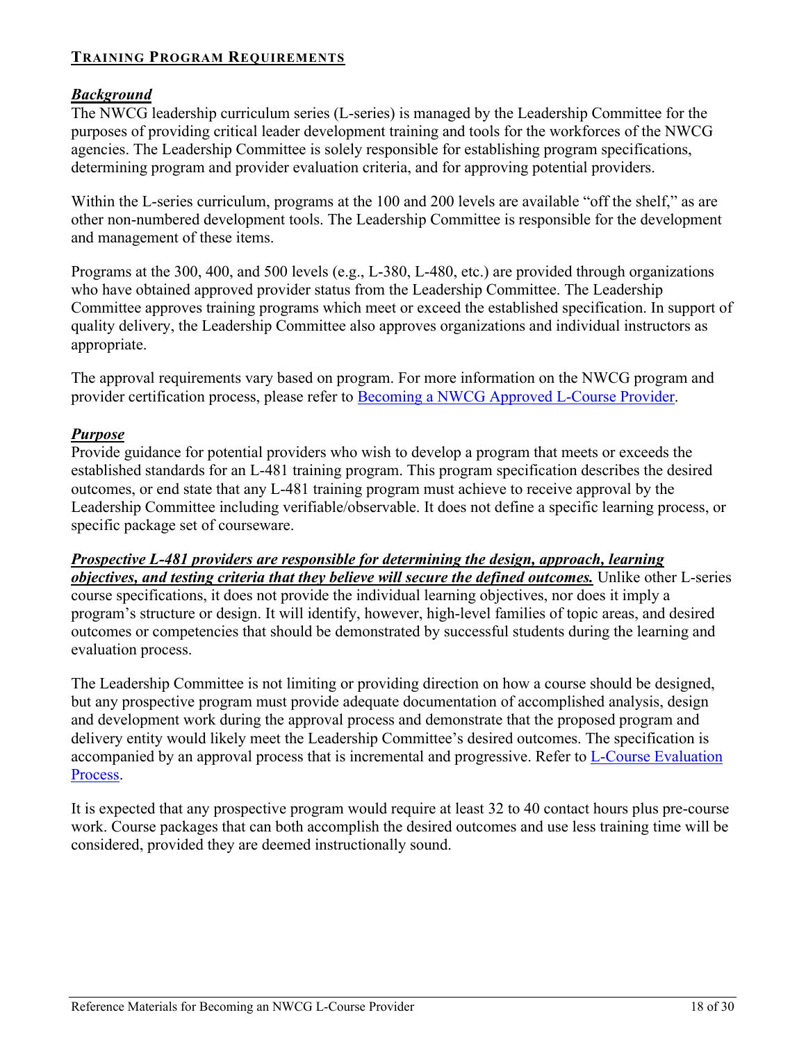#### <span id="page-20-1"></span><span id="page-20-0"></span>**TRAINING PROGRAM REQUIREMENTS**

#### *Background*

The NWCG leadership curriculum series (L-series) is managed by the Leadership Committee for the purposes of providing critical leader development training and tools for the workforces of the NWCG agencies. The Leadership Committee is solely responsible for establishing program specifications, determining program and provider evaluation criteria, and for approving potential providers.

Within the L-series curriculum, programs at the 100 and 200 levels are available "off the shelf," as are other non-numbered development tools. The Leadership Committee is responsible for the development and management of these items.

Programs at the 300, 400, and 500 levels (e.g., L-380, L-480, etc.) are provided through organizations who have obtained approved provider status from the Leadership Committee. The Leadership Committee approves training programs which meet or exceed the established specification. In support of quality delivery, the Leadership Committee also approves organizations and individual instructors as appropriate.

The approval requirements vary based on program. For more information on the NWCG program and provider certification process, please refer to [Becoming a NWCG Approved L-Course Provider.](#page-27-3)

#### <span id="page-20-2"></span>*Purpose*

Provide guidance for potential providers who wish to develop a program that meets or exceeds the established standards for an L-481 training program. This program specification describes the desired outcomes, or end state that any L-481 training program must achieve to receive approval by the Leadership Committee including verifiable/observable. It does not define a specific learning process, or specific package set of courseware.

*Prospective L-481 providers are responsible for determining the design, approach, learning objectives, and testing criteria that they believe will secure the defined outcomes.* Unlike other L-series course specifications, it does not provide the individual learning objectives, nor does it imply a program's structure or design. It will identify, however, high-level families of topic areas, and desired outcomes or competencies that should be demonstrated by successful students during the learning and evaluation process.

The Leadership Committee is not limiting or providing direction on how a course should be designed, but any prospective program must provide adequate documentation of accomplished analysis, design and development work during the approval process and demonstrate that the proposed program and delivery entity would likely meet the Leadership Committee's desired outcomes. The specification is accompanied by an approval process that is incremental and progressive. Refer to [L-Course Evaluation](#page-27-3)  [Process.](#page-27-3)

It is expected that any prospective program would require at least 32 to 40 contact hours plus pre-course work. Course packages that can both accomplish the desired outcomes and use less training time will be considered, provided they are deemed instructionally sound.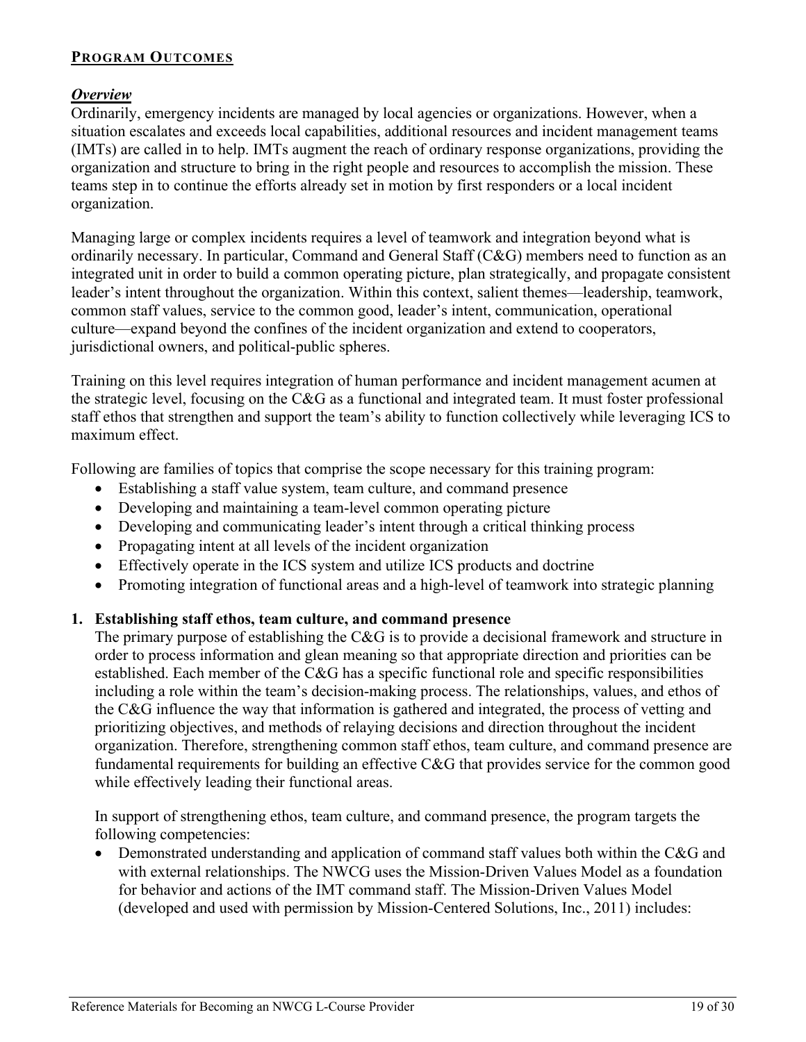#### <span id="page-21-1"></span><span id="page-21-0"></span>**PROGRAM OUTCOMES**

#### *Overview*

Ordinarily, emergency incidents are managed by local agencies or organizations. However, when a situation escalates and exceeds local capabilities, additional resources and incident management teams (IMTs) are called in to help. IMTs augment the reach of ordinary response organizations, providing the organization and structure to bring in the right people and resources to accomplish the mission. These teams step in to continue the efforts already set in motion by first responders or a local incident organization.

Managing large or complex incidents requires a level of teamwork and integration beyond what is ordinarily necessary. In particular, Command and General Staff (C&G) members need to function as an integrated unit in order to build a common operating picture, plan strategically, and propagate consistent leader's intent throughout the organization. Within this context, salient themes—leadership, teamwork, common staff values, service to the common good, leader's intent, communication, operational culture—expand beyond the confines of the incident organization and extend to cooperators, jurisdictional owners, and political-public spheres.

Training on this level requires integration of human performance and incident management acumen at the strategic level, focusing on the C&G as a functional and integrated team. It must foster professional staff ethos that strengthen and support the team's ability to function collectively while leveraging ICS to maximum effect.

Following are families of topics that comprise the scope necessary for this training program:

- Establishing a staff value system, team culture, and command presence
- Developing and maintaining a team-level common operating picture
- Developing and communicating leader's intent through a critical thinking process
- Propagating intent at all levels of the incident organization
- Effectively operate in the ICS system and utilize ICS products and doctrine
- Promoting integration of functional areas and a high-level of teamwork into strategic planning

#### **1. Establishing staff ethos, team culture, and command presence**

The primary purpose of establishing the C&G is to provide a decisional framework and structure in order to process information and glean meaning so that appropriate direction and priorities can be established. Each member of the C&G has a specific functional role and specific responsibilities including a role within the team's decision-making process. The relationships, values, and ethos of the C&G influence the way that information is gathered and integrated, the process of vetting and prioritizing objectives, and methods of relaying decisions and direction throughout the incident organization. Therefore, strengthening common staff ethos, team culture, and command presence are fundamental requirements for building an effective C&G that provides service for the common good while effectively leading their functional areas.

In support of strengthening ethos, team culture, and command presence, the program targets the following competencies:

• Demonstrated understanding and application of command staff values both within the C&G and with external relationships. The NWCG uses the Mission-Driven Values Model as a foundation for behavior and actions of the IMT command staff. The Mission-Driven Values Model (developed and used with permission by Mission-Centered Solutions, Inc., 2011) includes: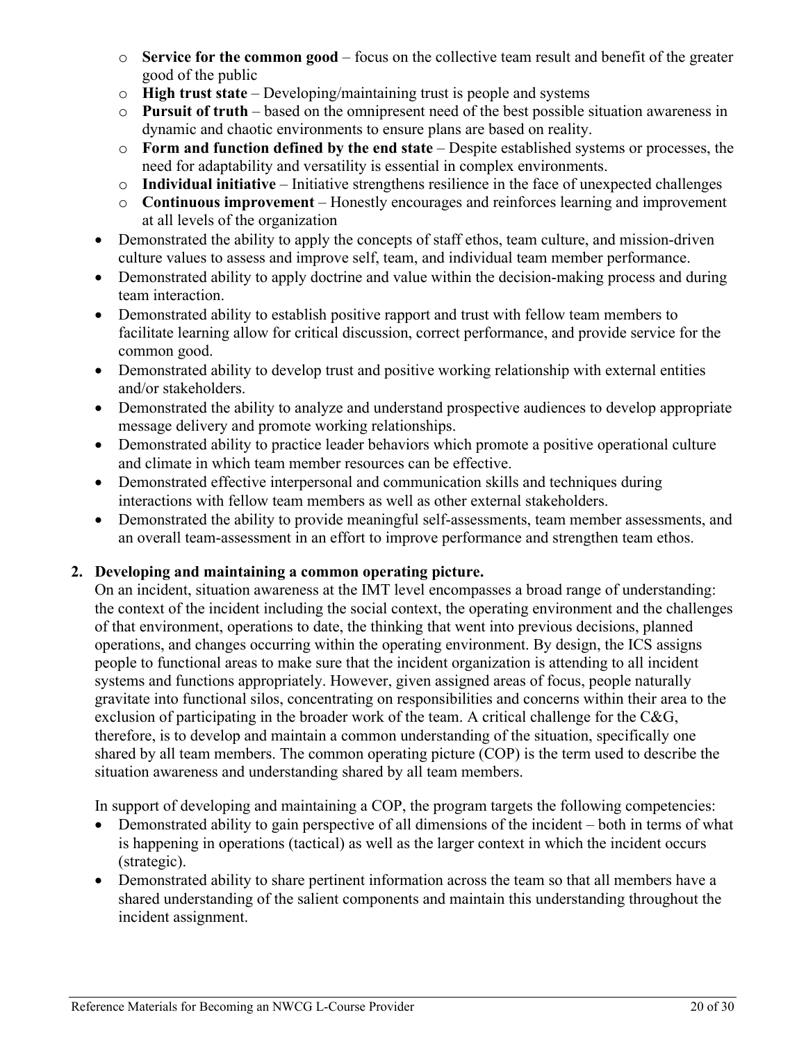- o **Service for the common good**  focus on the collective team result and benefit of the greater good of the public
- o **High trust state**  Developing/maintaining trust is people and systems
- o **Pursuit of truth** based on the omnipresent need of the best possible situation awareness in dynamic and chaotic environments to ensure plans are based on reality.
- o **Form and function defined by the end state** Despite established systems or processes, the need for adaptability and versatility is essential in complex environments.
- o **Individual initiative**  Initiative strengthens resilience in the face of unexpected challenges
- o **Continuous improvement** Honestly encourages and reinforces learning and improvement at all levels of the organization
- Demonstrated the ability to apply the concepts of staff ethos, team culture, and mission-driven culture values to assess and improve self, team, and individual team member performance.
- Demonstrated ability to apply doctrine and value within the decision-making process and during team interaction.
- Demonstrated ability to establish positive rapport and trust with fellow team members to facilitate learning allow for critical discussion, correct performance, and provide service for the common good.
- Demonstrated ability to develop trust and positive working relationship with external entities and/or stakeholders.
- Demonstrated the ability to analyze and understand prospective audiences to develop appropriate message delivery and promote working relationships.
- Demonstrated ability to practice leader behaviors which promote a positive operational culture and climate in which team member resources can be effective.
- Demonstrated effective interpersonal and communication skills and techniques during interactions with fellow team members as well as other external stakeholders.
- Demonstrated the ability to provide meaningful self-assessments, team member assessments, and an overall team-assessment in an effort to improve performance and strengthen team ethos.

#### **2. Developing and maintaining a common operating picture.**

On an incident, situation awareness at the IMT level encompasses a broad range of understanding: the context of the incident including the social context, the operating environment and the challenges of that environment, operations to date, the thinking that went into previous decisions, planned operations, and changes occurring within the operating environment. By design, the ICS assigns people to functional areas to make sure that the incident organization is attending to all incident systems and functions appropriately. However, given assigned areas of focus, people naturally gravitate into functional silos, concentrating on responsibilities and concerns within their area to the exclusion of participating in the broader work of the team. A critical challenge for the C&G, therefore, is to develop and maintain a common understanding of the situation, specifically one shared by all team members. The common operating picture (COP) is the term used to describe the situation awareness and understanding shared by all team members.

In support of developing and maintaining a COP, the program targets the following competencies:

- Demonstrated ability to gain perspective of all dimensions of the incident both in terms of what is happening in operations (tactical) as well as the larger context in which the incident occurs (strategic).
- Demonstrated ability to share pertinent information across the team so that all members have a shared understanding of the salient components and maintain this understanding throughout the incident assignment.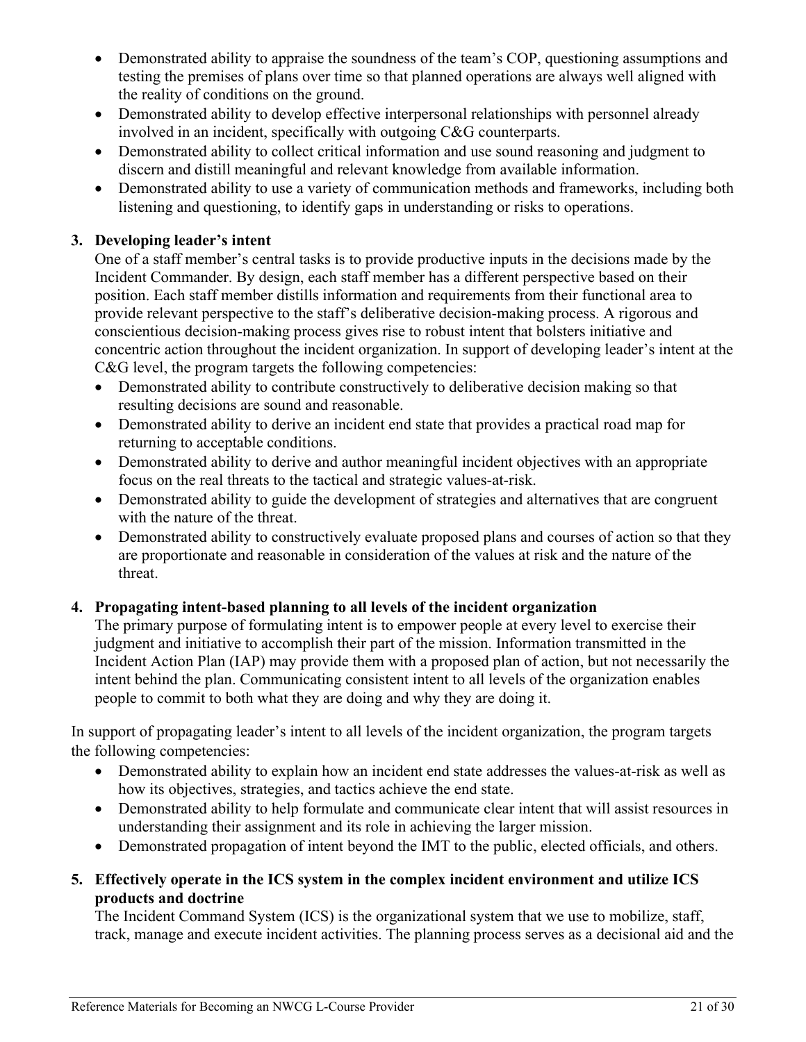- Demonstrated ability to appraise the soundness of the team's COP, questioning assumptions and testing the premises of plans over time so that planned operations are always well aligned with the reality of conditions on the ground.
- Demonstrated ability to develop effective interpersonal relationships with personnel already involved in an incident, specifically with outgoing C&G counterparts.
- Demonstrated ability to collect critical information and use sound reasoning and judgment to discern and distill meaningful and relevant knowledge from available information.
- Demonstrated ability to use a variety of communication methods and frameworks, including both listening and questioning, to identify gaps in understanding or risks to operations.

#### **3. Developing leader's intent**

One of a staff member's central tasks is to provide productive inputs in the decisions made by the Incident Commander. By design, each staff member has a different perspective based on their position. Each staff member distills information and requirements from their functional area to provide relevant perspective to the staff's deliberative decision-making process. A rigorous and conscientious decision-making process gives rise to robust intent that bolsters initiative and concentric action throughout the incident organization. In support of developing leader's intent at the C&G level, the program targets the following competencies:

- Demonstrated ability to contribute constructively to deliberative decision making so that resulting decisions are sound and reasonable.
- Demonstrated ability to derive an incident end state that provides a practical road map for returning to acceptable conditions.
- Demonstrated ability to derive and author meaningful incident objectives with an appropriate focus on the real threats to the tactical and strategic values-at-risk.
- Demonstrated ability to guide the development of strategies and alternatives that are congruent with the nature of the threat.
- Demonstrated ability to constructively evaluate proposed plans and courses of action so that they are proportionate and reasonable in consideration of the values at risk and the nature of the threat.

#### **4. Propagating intent-based planning to all levels of the incident organization**

The primary purpose of formulating intent is to empower people at every level to exercise their judgment and initiative to accomplish their part of the mission. Information transmitted in the Incident Action Plan (IAP) may provide them with a proposed plan of action, but not necessarily the intent behind the plan. Communicating consistent intent to all levels of the organization enables people to commit to both what they are doing and why they are doing it.

In support of propagating leader's intent to all levels of the incident organization, the program targets the following competencies:

- Demonstrated ability to explain how an incident end state addresses the values-at-risk as well as how its objectives, strategies, and tactics achieve the end state.
- Demonstrated ability to help formulate and communicate clear intent that will assist resources in understanding their assignment and its role in achieving the larger mission.
- Demonstrated propagation of intent beyond the IMT to the public, elected officials, and others.
- **5. Effectively operate in the ICS system in the complex incident environment and utilize ICS products and doctrine**

The Incident Command System (ICS) is the organizational system that we use to mobilize, staff, track, manage and execute incident activities. The planning process serves as a decisional aid and the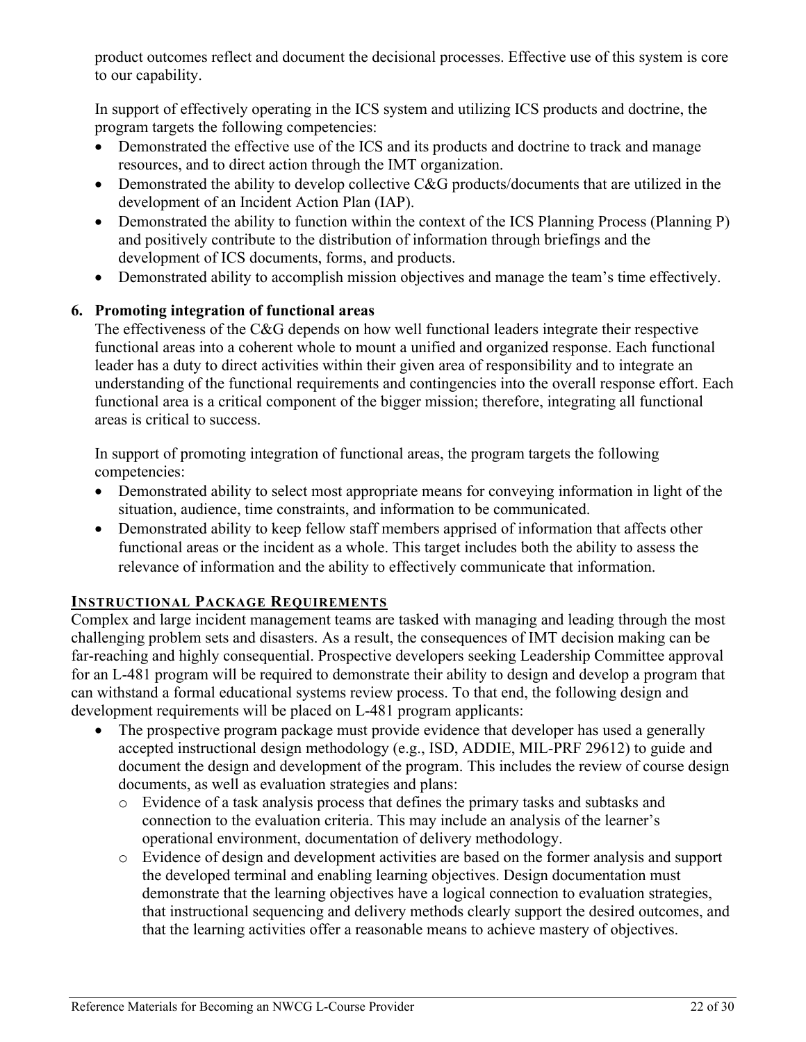product outcomes reflect and document the decisional processes. Effective use of this system is core to our capability.

In support of effectively operating in the ICS system and utilizing ICS products and doctrine, the program targets the following competencies:

- Demonstrated the effective use of the ICS and its products and doctrine to track and manage resources, and to direct action through the IMT organization.
- Demonstrated the ability to develop collective C&G products/documents that are utilized in the development of an Incident Action Plan (IAP).
- Demonstrated the ability to function within the context of the ICS Planning Process (Planning P) and positively contribute to the distribution of information through briefings and the development of ICS documents, forms, and products.
- Demonstrated ability to accomplish mission objectives and manage the team's time effectively.

#### **6. Promoting integration of functional areas**

The effectiveness of the C&G depends on how well functional leaders integrate their respective functional areas into a coherent whole to mount a unified and organized response. Each functional leader has a duty to direct activities within their given area of responsibility and to integrate an understanding of the functional requirements and contingencies into the overall response effort. Each functional area is a critical component of the bigger mission; therefore, integrating all functional areas is critical to success.

In support of promoting integration of functional areas, the program targets the following competencies:

- Demonstrated ability to select most appropriate means for conveying information in light of the situation, audience, time constraints, and information to be communicated.
- Demonstrated ability to keep fellow staff members apprised of information that affects other functional areas or the incident as a whole. This target includes both the ability to assess the relevance of information and the ability to effectively communicate that information.

#### <span id="page-24-0"></span>**INSTRUCTIONAL PACKAGE REQUIREMENTS**

Complex and large incident management teams are tasked with managing and leading through the most challenging problem sets and disasters. As a result, the consequences of IMT decision making can be far-reaching and highly consequential. Prospective developers seeking [Leadership Committee](https://www.nwcg.gov/committees/leadership-committee) approval for an L-481 program will be required to demonstrate their ability to design and develop a program that can withstand a formal educational systems review process. To that end, the following design and development requirements will be placed on L-481 program applicants:

- The prospective program package must provide evidence that developer has used a generally accepted instructional design methodology (e.g., ISD, ADDIE, MIL-PRF 29612) to guide and document the design and development of the program. This includes the review of course design documents, as well as evaluation strategies and plans:
	- o Evidence of a task analysis process that defines the primary tasks and subtasks and connection to the evaluation criteria. This may include an analysis of the learner's operational environment, documentation of delivery methodology.
	- o Evidence of design and development activities are based on the former analysis and support the developed terminal and enabling learning objectives. Design documentation must demonstrate that the learning objectives have a logical connection to evaluation strategies, that instructional sequencing and delivery methods clearly support the desired outcomes, and that the learning activities offer a reasonable means to achieve mastery of objectives.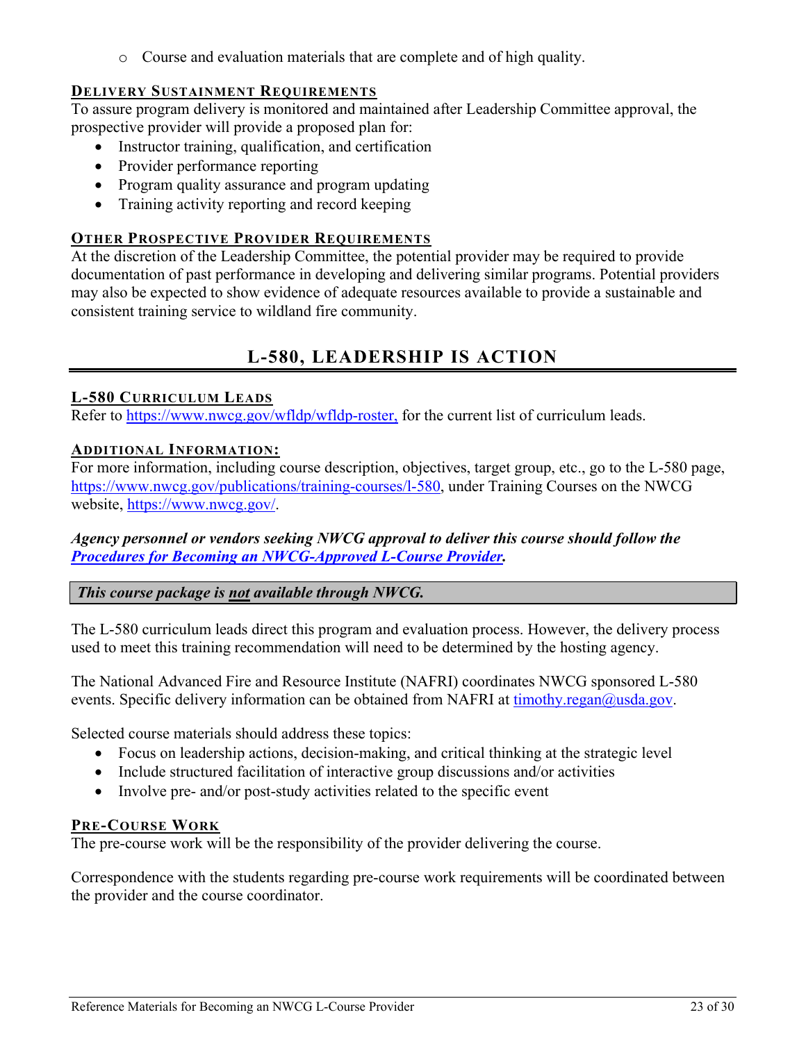o Course and evaluation materials that are complete and of high quality.

#### <span id="page-25-0"></span>**DELIVERY SUSTAINMENT REQUIREMENTS**

To assure program delivery is monitored and maintained after Leadership Committee approval, the prospective provider will provide a proposed plan for:

- Instructor training, qualification, and certification
- Provider performance reporting
- Program quality assurance and program updating
- Training activity reporting and record keeping

#### <span id="page-25-1"></span>**OTHER PROSPECTIVE PROVIDER REQUIREMENTS**

At the discretion of the Leadership Committee, the potential provider may be required to provide documentation of past performance in developing and delivering similar programs. Potential providers may also be expected to show evidence of adequate resources available to provide a sustainable and consistent training service to wildland fire community.

## **L-580, LEADERSHIP IS ACTION**

#### <span id="page-25-3"></span><span id="page-25-2"></span>**L-580 CURRICULUM LEADS**

<span id="page-25-4"></span>Refer to [https://www.nwcg.gov/wfldp/wfldp-roster,](https://www.nwcg.gov/wfldp/wfldp-roster) for the current list of curriculum leads.

#### **ADDITIONAL INFORMATION:**

For more information, including course description, objectives, target group, etc., go to the L-580 page, [https://www.nwcg.gov/publications/training-courses/l-580,](https://www.nwcg.gov/publications/training-courses/l-580) under Training Courses on the NWCG website, [https://www.nwcg.gov/.](https://www.nwcg.gov/)

*Agency personnel or vendors seeking NWCG approval to deliver this course should follow the Procedures for [Becoming an NWCG-Approved L-Course](#page-27-3) Provider.* 

#### *This course package is not available through NWCG.*

The L-580 curriculum leads direct this program and evaluation process. However, the delivery process used to meet this training recommendation will need to be determined by the hosting agency.

The National Advanced Fire and Resource Institute (NAFRI) coordinates NWCG sponsored L-580 events. Specific delivery information can be obtained from NAFRI at [timothy.regan@usda.gov.](mailto:timothy.regan@usda.gov)

Selected course materials should address these topics:

- Focus on leadership actions, decision-making, and critical thinking at the strategic level
- Include structured facilitation of interactive group discussions and/or activities
- Involve pre- and/or post-study activities related to the specific event

#### <span id="page-25-5"></span>**PRE-COURSE WORK**

The pre-course work will be the responsibility of the provider delivering the course.

Correspondence with the students regarding pre-course work requirements will be coordinated between the provider and the course coordinator.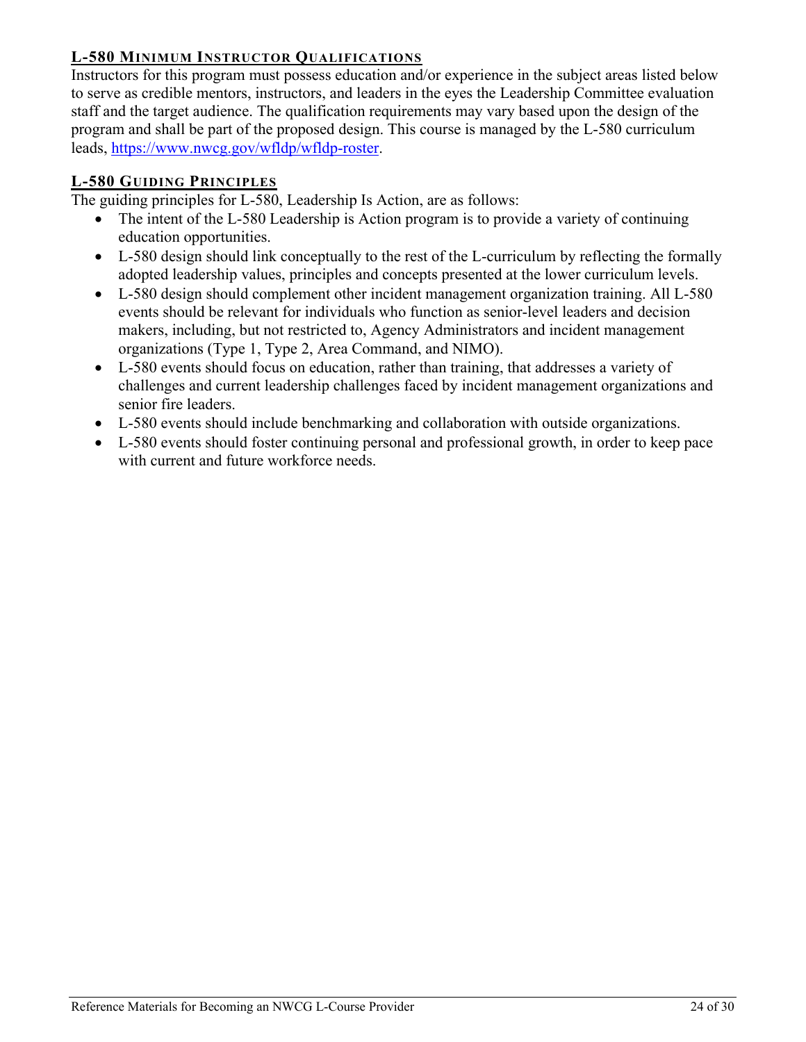#### <span id="page-26-0"></span>**L-580 MINIMUM INSTRUCTOR QUALIFICATIONS**

Instructors for this program must possess education and/or experience in the subject areas listed below to serve as credible mentors, instructors, and leaders in the eyes the Leadership Committee evaluation staff and the target audience. The qualification requirements may vary based upon the design of the program and shall be part of the proposed design. This course is managed by the L-580 curriculum leads, [https://www.nwcg.gov/wfldp/wfldp-roster.](https://www.nwcg.gov/wfldp/wfldp-roster)

#### <span id="page-26-1"></span>**L-580 GUIDING PRINCIPLES**

The guiding principles for L-580, Leadership Is Action, are as follows:

- <span id="page-26-2"></span>The intent of the L-580 Leadership is Action program is to provide a variety of continuing education opportunities.
- L-580 design should link conceptually to the rest of the L-curriculum by reflecting the formally adopted leadership values, principles and concepts presented at the lower curriculum levels.
- L-580 design should complement other incident management organization training. All L-580 events should be relevant for individuals who function as senior-level leaders and decision makers, including, but not restricted to, Agency Administrators and incident management organizations (Type 1, Type 2, Area Command, and NIMO).
- L-580 events should focus on education, rather than training, that addresses a variety of challenges and current leadership challenges faced by incident management organizations and senior fire leaders.
- L-580 events should include benchmarking and collaboration with outside organizations.
- L-580 events should foster continuing personal and professional growth, in order to keep pace with current and future workforce needs.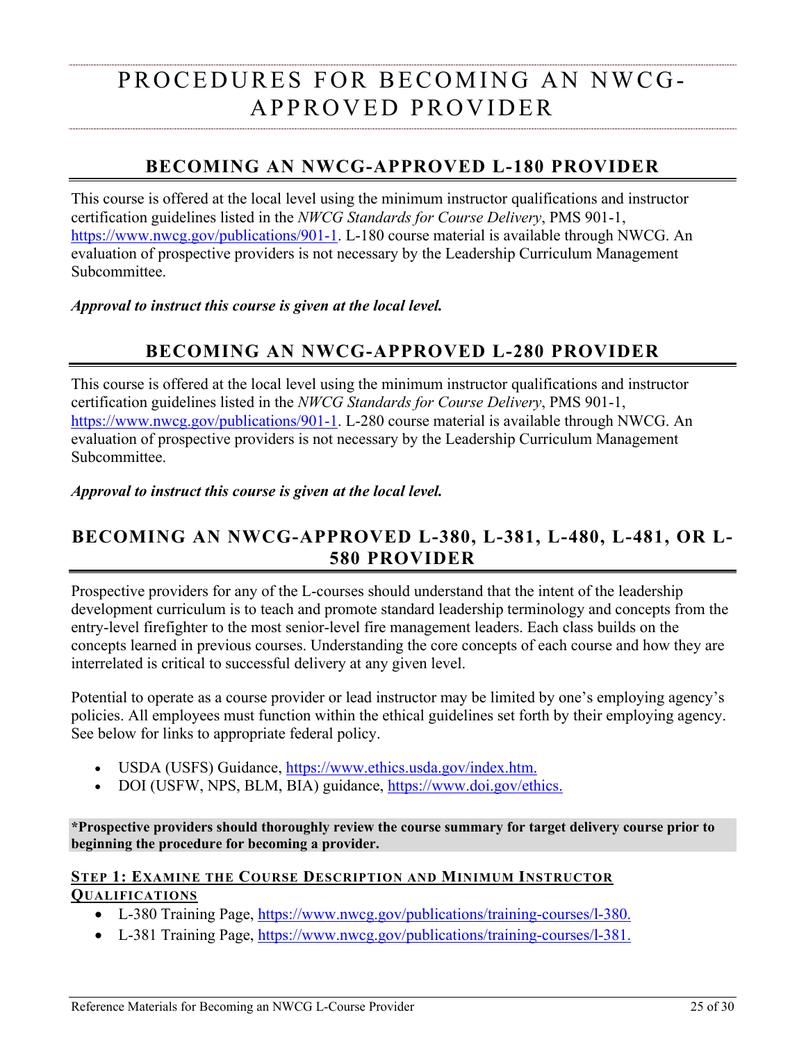## <span id="page-27-0"></span>PROCEDURES FOR BECOMING AN NWCG-APPROVED PROVIDER

## **BECOMING AN NWCG-APPROVED L-180 PROVIDER**

<span id="page-27-1"></span>This course is offered at the local level using the minimum instructor qualifications and instructor certification guidelines listed in the *NWCG Standards for Course Delivery*, PMS 901-1, [https://www.nwcg.gov/publications/901-1.](https://www.nwcg.gov/publications/901-1) L-180 course material is available through NWCG. An evaluation of prospective providers is not necessary by the Leadership Curriculum Management Subcommittee.

<span id="page-27-2"></span>*Approval to instruct this course is given at the local level.*

## **BECOMING AN NWCG-APPROVED L-280 PROVIDER**

This course is offered at the local level using the minimum instructor qualifications and instructor certification guidelines listed in the *NWCG Standards for Course Delivery*, PMS 901-1, [https://www.nwcg.gov/publications/901-1.](https://www.nwcg.gov/publications/901-1) L-280 course material is available through NWCG. An evaluation of prospective providers is not necessary by the Leadership Curriculum Management Subcommittee.

*Approval to instruct this course is given at the local level.*

## <span id="page-27-3"></span>**BECOMING AN NWCG-APPROVED L-380, L-381, L-480, L-481, OR L-580 PROVIDER**

Prospective providers for any of the L-courses should understand that the intent of the leadership development curriculum is to teach and promote standard leadership terminology and concepts from the entry-level firefighter to the most senior-level fire management leaders. Each class builds on the concepts learned in previous courses. Understanding the core concepts of each course and how they are interrelated is critical to successful delivery at any given level.

Potential to operate as a course provider or lead instructor may be limited by one's employing agency's policies. All employees must function within the ethical guidelines set forth by their employing agency. See below for links to appropriate federal policy.

- USDA (USFS) Guidance, [https://www.ethics.usda.gov/index.htm.](https://www.ethics.usda.gov/index.htm)
- DOI (USFW, NPS, BLM, BIA) guidance, [https://www.doi.gov/ethics.](https://www.doi.gov/ethics)

**\*Prospective providers should thoroughly review the course summary for target delivery course prior to beginning the procedure for becoming a provider.**

#### <span id="page-27-4"></span>**STEP 1: EXAMINE THE COURSE DESCRIPTION AND MINIMUM INSTRUCTOR QUALIFICATIONS**

- L-380 Training Page, [https://www.nwcg.gov/publications/training-courses/l-380.](https://www.nwcg.gov/publications/training-courses/l-380)
- L-381 Training Page, [https://www.nwcg.gov/publications/training-courses/l-381.](https://www.nwcg.gov/publications/training-courses/l-381)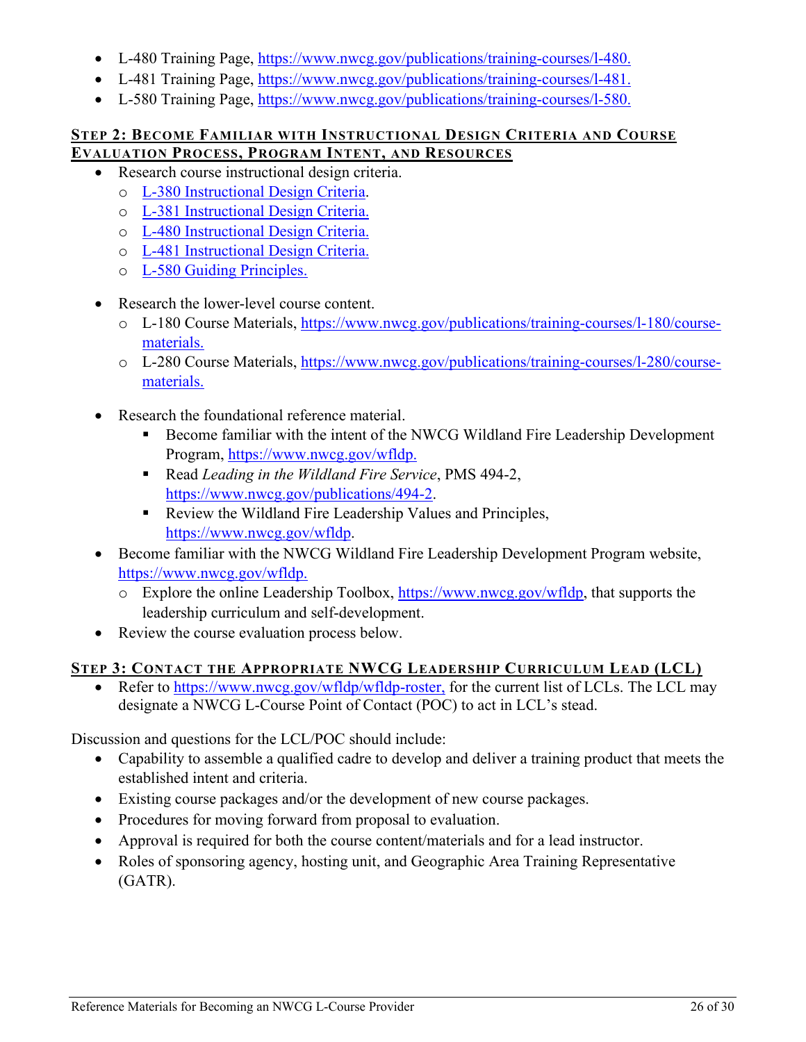- L-480 Training Page, [https://www.nwcg.gov/publications/training-courses/l-480.](https://www.nwcg.gov/publications/training-courses/l-480)
- L-481 Training Page, [https://www.nwcg.gov/publications/training-courses/l-481.](https://www.nwcg.gov/publications/training-courses/l-481)
- L-580 Training Page, [https://www.nwcg.gov/publications/training-courses/l-580.](https://www.nwcg.gov/publications/training-courses/l-580)

#### <span id="page-28-0"></span>**STEP 2: BECOME FAMILIAR WITH INSTRUCTIONAL DESIGN CRITERIA AND COURSE EVALUATION PROCESS, PROGRAM INTENT, AND RESOURCES**

- Research course instructional design criteria.
	- o [L-380 Instructional Design Criteria.](#page-5-2)
	- o [L-381 Instructional Design Criteria.](#page-8-5)
	- o [L-480 Instructional Design Criteria.](#page-13-1)
	- o [L-481 Instructional Design Criteria.](#page-17-2)
	- o [L-580 Guiding Principles.](#page-26-2)
- Research the lower-level course content.
	- o L-180 Course Materials, [https://www.nwcg.gov/publications/training-courses/l-180/course](https://www.nwcg.gov/publications/training-courses/l-180/course-materials)[materials.](https://www.nwcg.gov/publications/training-courses/l-180/course-materials)
	- o L-280 Course Materials, [https://www.nwcg.gov/publications/training-courses/l-280/course](https://www.nwcg.gov/publications/training-courses/l-280/course-materials)[materials.](https://www.nwcg.gov/publications/training-courses/l-280/course-materials)
- Research the foundational reference material.
	- Become familiar with the intent of the NWCG Wildland Fire Leadership Development Program, [https://www.nwcg.gov/wfldp.](https://www.nwcg.gov/wfldp)
	- Read *Leading in the Wildland Fire Service*, PMS 494-2, [https://www.nwcg.gov/publications/494-2.](https://www.nwcg.gov/publications/494-2)
	- Review the Wildland Fire Leadership Values and Principles, [https://www.nwcg.gov/wfldp.](https://www.nwcg.gov/wfldp)
- Become familiar with the NWCG Wildland Fire Leadership Development Program website, [https://www.nwcg.gov/wfldp.](https://www.nwcg.gov/wfldp)
	- o Explore the online Leadership Toolbox, [https://www.nwcg.gov/wfldp,](https://www.nwcg.gov/wfldp) that supports the leadership curriculum and self-development.
- Review the course evaluation process below.

## <span id="page-28-1"></span>**STEP 3: CONTACT THE APPROPRIATE NWCG LEADERSHIP CURRICULUM LEAD (LCL)**

Refer to [https://www.nwcg.gov/wfldp/wfldp-roster,](https://www.nwcg.gov/wfldp/wfldp-roster) for the current list of LCLs. The LCL may designate a NWCG L-Course Point of Contact (POC) to act in LCL's stead.

Discussion and questions for the LCL/POC should include:

- Capability to assemble a qualified cadre to develop and deliver a training product that meets the established intent and criteria.
- Existing course packages and/or the development of new course packages.
- Procedures for moving forward from proposal to evaluation.
- Approval is required for both the course content/materials and for a lead instructor.
- Roles of sponsoring agency, hosting unit, and Geographic Area Training Representative (GATR).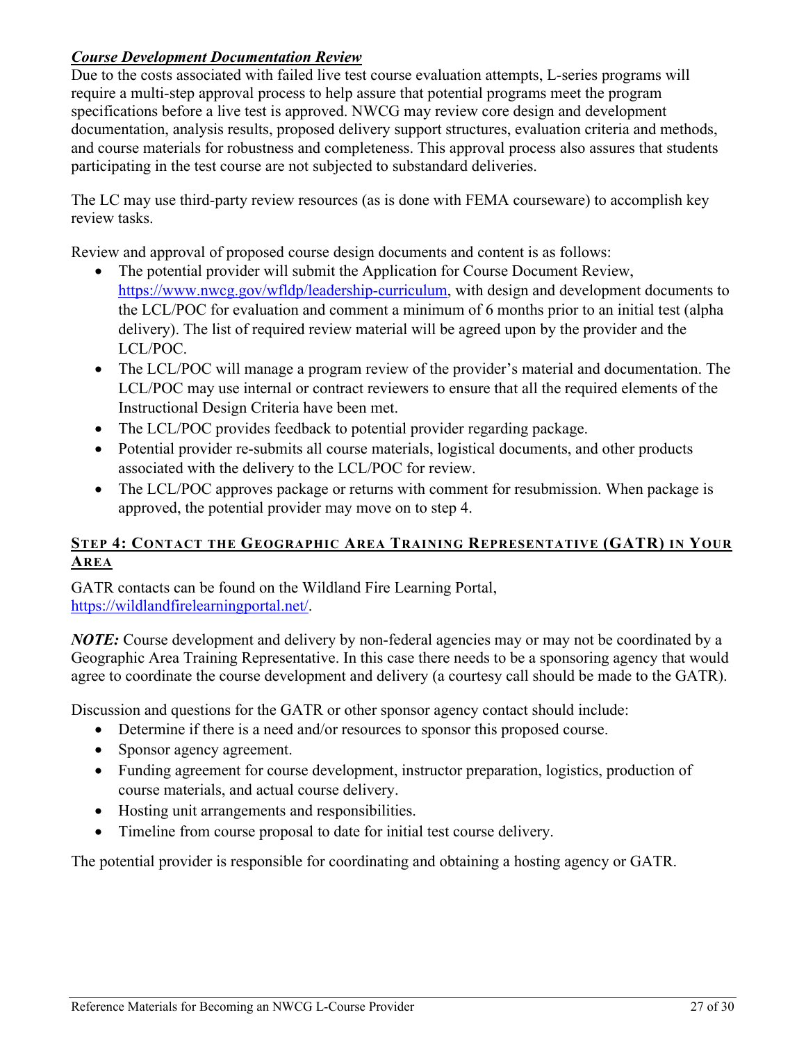#### <span id="page-29-0"></span>*Course Development Documentation Review*

Due to the costs associated with failed live test course evaluation attempts, L-series programs will require a multi-step approval process to help assure that potential programs meet the program specifications before a live test is approved. NWCG may review core design and development documentation, analysis results, proposed delivery support structures, evaluation criteria and methods, and course materials for robustness and completeness. This approval process also assures that students participating in the test course are not subjected to substandard deliveries.

The LC may use third-party review resources (as is done with FEMA courseware) to accomplish key review tasks.

Review and approval of proposed course design documents and content is as follows:

- The potential provider will submit the Application for Course Document Review, [https://www.nwcg.gov/wfldp/leadership-curriculum,](https://www.nwcg.gov/wfldp/leadership-curriculum) with design and development documents to the LCL/POC for evaluation and comment a minimum of 6 months prior to an initial test (alpha delivery). The list of required review material will be agreed upon by the provider and the LCL/POC.
- The LCL/POC will manage a program review of the provider's material and documentation. The LCL/POC may use internal or contract reviewers to ensure that all the required elements of the Instructional Design Criteria have been met.
- The LCL/POC provides feedback to potential provider regarding package.
- Potential provider re-submits all course materials, logistical documents, and other products associated with the delivery to the LCL/POC for review.
- The LCL/POC approves package or returns with comment for resubmission. When package is approved, the potential provider may move on to step 4.

#### <span id="page-29-1"></span>**STEP 4: CONTACT THE GEOGRAPHIC AREA TRAINING REPRESENTATIVE (GATR) IN YOUR AREA**

GATR contacts can be found on the Wildland Fire Learning Portal, [https://wildlandfirelearningportal.net/.](https://wildlandfirelearningportal.net/)

*NOTE:* Course development and delivery by non-federal agencies may or may not be coordinated by a Geographic Area Training Representative. In this case there needs to be a sponsoring agency that would agree to coordinate the course development and delivery (a courtesy call should be made to the GATR).

Discussion and questions for the GATR or other sponsor agency contact should include:

- Determine if there is a need and/or resources to sponsor this proposed course.
- Sponsor agency agreement.
- Funding agreement for course development, instructor preparation, logistics, production of course materials, and actual course delivery.
- Hosting unit arrangements and responsibilities.
- Timeline from course proposal to date for initial test course delivery.

The potential provider is responsible for coordinating and obtaining a hosting agency or GATR.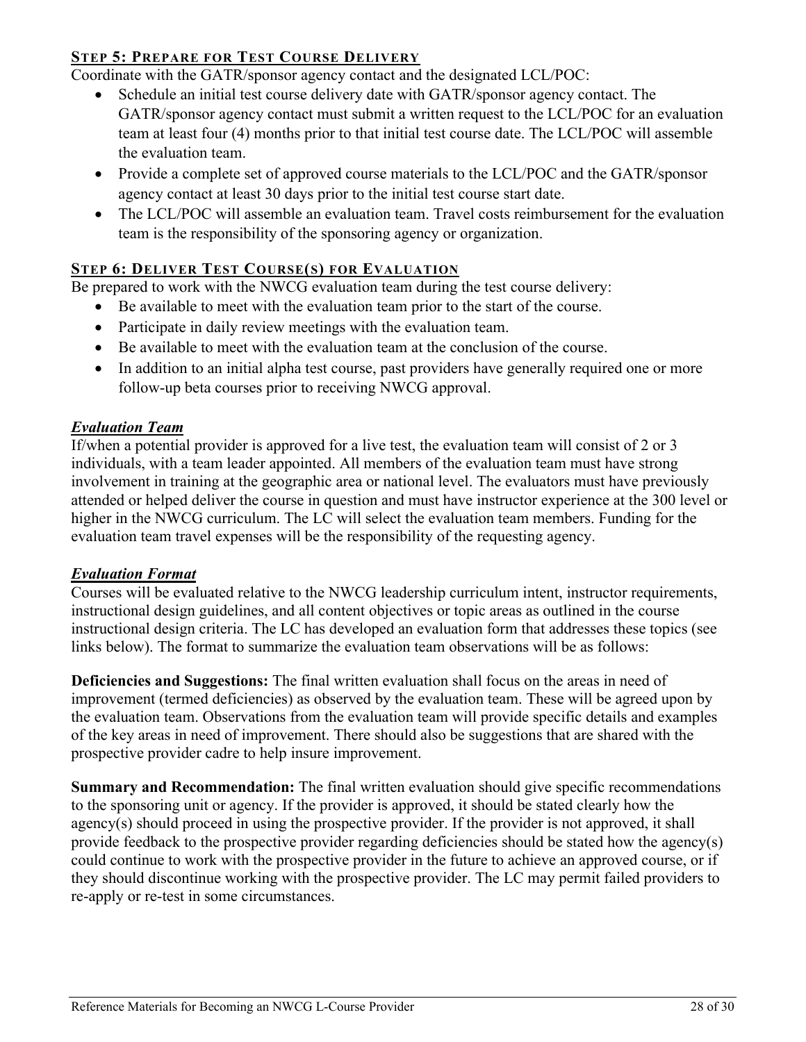#### <span id="page-30-0"></span>**STEP 5: PREPARE FOR TEST COURSE DELIVERY**

Coordinate with the GATR/sponsor agency contact and the designated LCL/POC:

- Schedule an initial test course delivery date with GATR/sponsor agency contact. The GATR/sponsor agency contact must submit a written request to the LCL/POC for an evaluation team at least four (4) months prior to that initial test course date. The LCL/POC will assemble the evaluation team.
- Provide a complete set of approved course materials to the LCL/POC and the GATR/sponsor agency contact at least 30 days prior to the initial test course start date.
- The LCL/POC will assemble an evaluation team. Travel costs reimbursement for the evaluation team is the responsibility of the sponsoring agency or organization.

#### <span id="page-30-1"></span>**STEP 6: DELIVER TEST COURSE(S) FOR EVALUATION**

Be prepared to work with the NWCG evaluation team during the test course delivery:

- Be available to meet with the evaluation team prior to the start of the course.
- Participate in daily review meetings with the evaluation team.
- Be available to meet with the evaluation team at the conclusion of the course.
- In addition to an initial alpha test course, past providers have generally required one or more follow-up beta courses prior to receiving NWCG approval.

#### <span id="page-30-2"></span>*Evaluation Team*

If/when a potential provider is approved for a live test, the evaluation team will consist of 2 or 3 individuals, with a team leader appointed. All members of the evaluation team must have strong involvement in training at the geographic area or national level. The evaluators must have previously attended or helped deliver the course in question and must have instructor experience at the 300 level or higher in the NWCG curriculum. The LC will select the evaluation team members. Funding for the evaluation team travel expenses will be the responsibility of the requesting agency.

#### <span id="page-30-3"></span>*Evaluation Format*

Courses will be evaluated relative to the NWCG leadership curriculum intent, instructor requirements, instructional design guidelines, and all content objectives or topic areas as outlined in the course instructional design criteria. The LC has developed an evaluation form that addresses these topics (see links below). The format to summarize the evaluation team observations will be as follows:

**Deficiencies and Suggestions:** The final written evaluation shall focus on the areas in need of improvement (termed deficiencies) as observed by the evaluation team. These will be agreed upon by the evaluation team. Observations from the evaluation team will provide specific details and examples of the key areas in need of improvement. There should also be suggestions that are shared with the prospective provider cadre to help insure improvement.

**Summary and Recommendation:** The final written evaluation should give specific recommendations to the sponsoring unit or agency. If the provider is approved, it should be stated clearly how the agency(s) should proceed in using the prospective provider. If the provider is not approved, it shall provide feedback to the prospective provider regarding deficiencies should be stated how the agency(s) could continue to work with the prospective provider in the future to achieve an approved course, or if they should discontinue working with the prospective provider. The LC may permit failed providers to re-apply or re-test in some circumstances.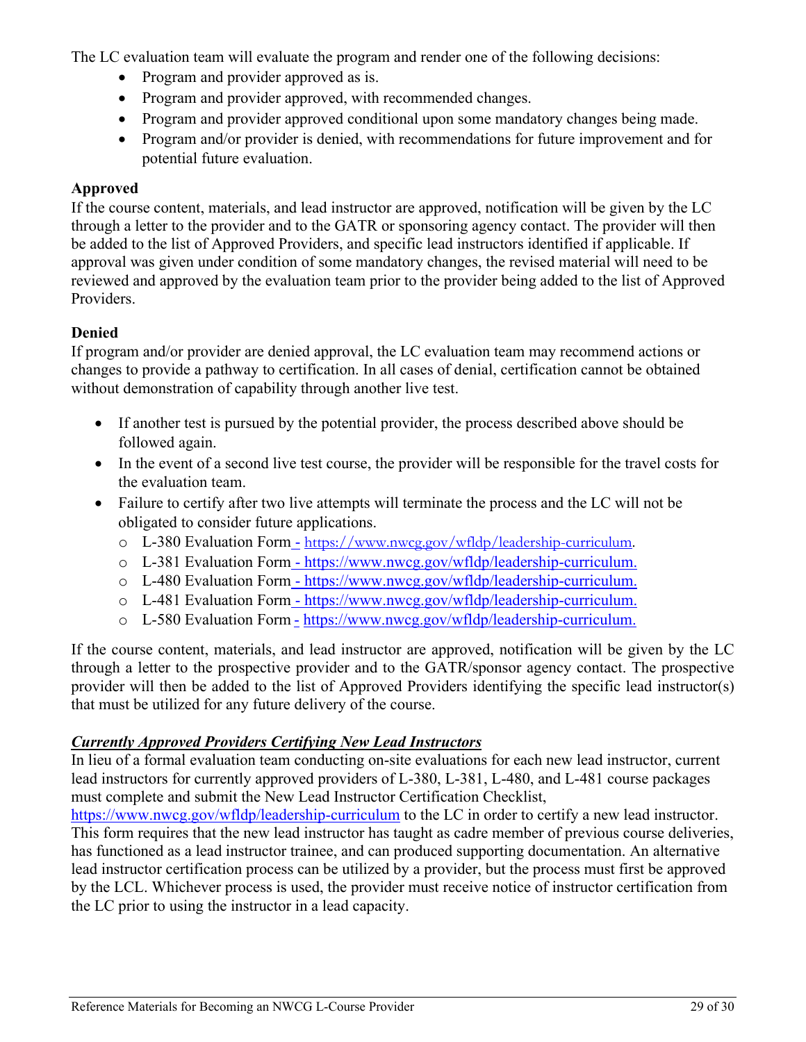The LC evaluation team will evaluate the program and render one of the following decisions:

- Program and provider approved as is.
- Program and provider approved, with recommended changes.
- Program and provider approved conditional upon some mandatory changes being made.
- Program and/or provider is denied, with recommendations for future improvement and for potential future evaluation.

#### **Approved**

If the course content, materials, and lead instructor are approved, notification will be given by the LC through a letter to the provider and to the GATR or sponsoring agency contact. The provider will then be added to the list of Approved Providers, and specific lead instructors identified if applicable. If approval was given under condition of some mandatory changes, the revised material will need to be reviewed and approved by the evaluation team prior to the provider being added to the list of Approved Providers.

#### **Denied**

If program and/or provider are denied approval, the LC evaluation team may recommend actions or changes to provide a pathway to certification. In all cases of denial, certification cannot be obtained without demonstration of capability through another live test.

- If another test is pursued by the potential provider, the process described above should be followed again.
- In the event of a second live test course, the provider will be responsible for the travel costs for the evaluation team.
- Failure to certify after two live attempts will terminate the process and the LC will not be obligated to consider future applications.
	- o L-380 Evaluation Form [https://www.nwcg.gov/wfldp/leadership-curriculum.](https://www.nwcg.gov/wfldp/leadership-curriculum)
	- o L-381 Evaluation Form [https://www.nwcg.gov/wfldp/leadership-curriculum.](https://www.nwcg.gov/wfldp/leadership-curriculum)
	- o L-480 Evaluation Form [https://www.nwcg.gov/wfldp/leadership-curriculum.](https://www.nwcg.gov/wfldp/leadership-curriculum)
	- o L-481 Evaluation Form [https://www.nwcg.gov/wfldp/leadership-curriculum.](https://www.nwcg.gov/wfldp/leadership-curriculum)
	- o L-580 Evaluation Form [https://www.nwcg.gov/wfldp/leadership-curriculum.](https://www.nwcg.gov/wfldp/leadership-curriculum)

If the course content, materials, and lead instructor are approved, notification will be given by the LC through a letter to the prospective provider and to the GATR/sponsor agency contact. The prospective provider will then be added to the list of Approved Providers identifying the specific lead instructor(s) that must be utilized for any future delivery of the course.

#### <span id="page-31-0"></span>*Currently Approved Providers Certifying New Lead Instructors*

In lieu of a formal evaluation team conducting on-site evaluations for each new lead instructor, current lead instructors for currently approved providers of L-380, L-381, L-480, and L-481 course packages must complete and submit the New Lead Instructor Certification Checklist,

<https://www.nwcg.gov/wfldp/leadership-curriculum> to the LC in order to certify a new lead instructor. This form requires that the new lead instructor has taught as cadre member of previous course deliveries, has functioned as a lead instructor trainee, and can produced supporting documentation. An alternative lead instructor certification process can be utilized by a provider, but the process must first be approved by the LCL. Whichever process is used, the provider must receive notice of instructor certification from the LC prior to using the instructor in a lead capacity.